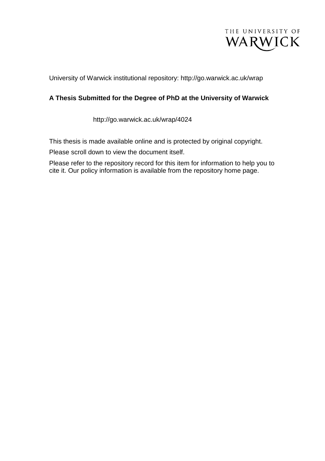

University of Warwick institutional repository: http://go.warwick.ac.uk/wrap

#### **A Thesis Submitted for the Degree of PhD at the University of Warwick**

http://go.warwick.ac.uk/wrap/4024

This thesis is made available online and is protected by original copyright.

Please scroll down to view the document itself.

Please refer to the repository record for this item for information to help you to cite it. Our policy information is available from the repository home page.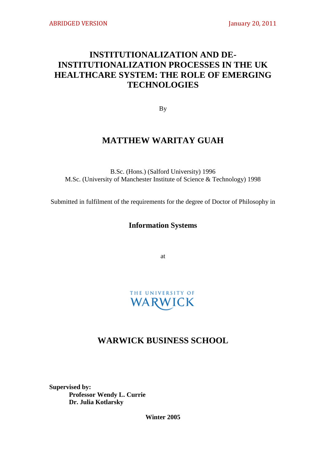# **INSTITUTIONALIZATION AND DE-INSTITUTIONALIZATION PROCESSES IN THE UK HEALTHCARE SYSTEM: THE ROLE OF EMERGING TECHNOLOGIES**

By

## **MATTHEW WARITAY GUAH**

B.Sc. (Hons.) (Salford University) 1996 M.Sc. (University of Manchester Institute of Science & Technology) 1998

Submitted in fulfilment of the requirements for the degree of Doctor of Philosophy in

### **Information Systems**

at

# THE UNIVERSITY OF WARWICK

## **WARWICK BUSINESS SCHOOL**

**Supervised by: Professor Wendy L. Currie Dr. Julia Kotlarsky**

**Winter 2005**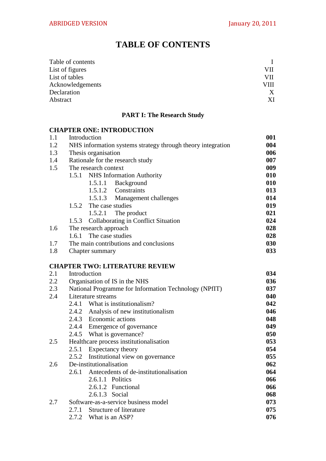# **TABLE OF CONTENTS**

| VII  |
|------|
| VII  |
| VIII |
| X    |
| ХI   |
|      |

### **PART I: The Research Study**

#### **CHAPTER ONE: INTRODUCTION**

| Introduction                                                | 001 |
|-------------------------------------------------------------|-----|
| NHS information systems strategy through theory integration | 004 |
| Thesis organisation                                         | 006 |
| Rationale for the research study                            | 007 |
| The research context                                        | 009 |
| 1.5.1 NHS Information Authority                             | 010 |
| 1.5.1.1 Background                                          | 010 |
| 1.5.1.2 Constraints                                         | 013 |
| 1.5.1.3 Management challenges                               | 014 |
| 1.5.2 The case studies                                      | 019 |
| 1.5.2.1 The product                                         | 021 |
| 1.5.3 Collaborating in Conflict Situation                   | 024 |
| The research approach                                       | 028 |
| 1.6.1 The case studies                                      | 028 |
| The main contributions and conclusions                      | 030 |
| Chapter summary                                             | 033 |
|                                                             |     |

### **CHAPTER TWO: LITERATURE REVIEW**

| 2.1 | Introduction                                          | 034 |
|-----|-------------------------------------------------------|-----|
| 2.2 | Organisation of IS in the NHS                         | 036 |
| 2.3 | National Programme for Information Technology (NPfIT) | 037 |
| 2.4 | Literature streams                                    | 040 |
|     | What is institutionalism?<br>2.4.1                    | 042 |
|     | 2.4.2 Analysis of new institutionalism                | 046 |
|     | 2.4.3 Economic actions                                | 048 |
|     | 2.4.4 Emergence of governance                         | 049 |
|     | 2.4.5 What is governance?                             | 050 |
| 2.5 | Healthcare process institutionalisation               | 053 |
|     | 2.5.1<br>Expectancy theory                            | 054 |
|     | 2.5.2 Institutional view on governance                | 055 |
| 2.6 | De-institutionalisation                               | 062 |
|     | 2.6.1 Antecedents of de-institutionalisation          | 064 |
|     | 2.6.1.1 Politics                                      | 066 |
|     | 2.6.1.2 Functional                                    | 066 |
|     | 2.6.1.3 Social                                        | 068 |
| 2.7 | Software-as-a-service business model                  | 073 |
|     | Structure of literature<br>2.7.1                      | 075 |
|     | 2.7.2<br>What is an ASP?                              | 076 |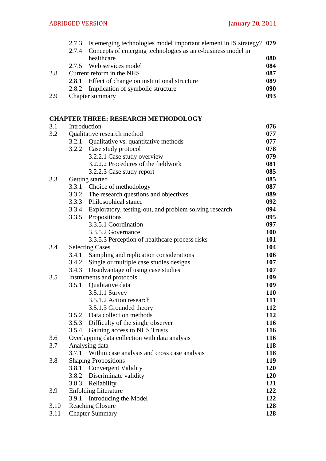|     | 2.7.3 Is emerging technologies model important element in IS strategy? 079 |     |
|-----|----------------------------------------------------------------------------|-----|
|     | 2.7.4 Concepts of emerging technologies as an e-business model in          |     |
|     | healthcare                                                                 | 080 |
|     | 2.7.5 Web services model                                                   | 084 |
| 2.8 | Current reform in the NHS                                                  | 087 |
|     | 2.8.1 Effect of change on institutional structure                          | 089 |
|     | 2.8.2 Implication of symbolic structure                                    | 090 |
| 2.9 | Chapter summary                                                            | 093 |
|     |                                                                            |     |

## **CHAPTER THREE: RESEARCH METHODOLOGY**

| 3.1  | Introduction |                                                              | 076        |
|------|--------------|--------------------------------------------------------------|------------|
| 3.2  |              | Qualitative research method                                  | 077        |
|      |              | 3.2.1 Qualitative vs. quantitative methods                   | 077        |
|      |              | 3.2.2 Case study protocol                                    | 078        |
|      |              | 3.2.2.1 Case study overview                                  | 079        |
|      |              | 3.2.2.2 Procedures of the fieldwork                          | 081        |
|      |              | 3.2.2.3 Case study report                                    | 085        |
| 3.3  |              | Getting started                                              | 085        |
|      |              | 3.3.1 Choice of methodology                                  | 087        |
|      |              | 3.3.2 The research questions and objectives                  | 089        |
|      |              | 3.3.3 Philosophical stance                                   | 092        |
|      |              | 3.3.4 Exploratory, testing-out, and problem solving research | 094        |
|      |              | 3.3.5 Propositions                                           | 095        |
|      |              | 3.3.5.1 Coordination                                         | 097        |
|      |              | 3.3.5.2 Governance                                           | <b>100</b> |
|      |              | 3.3.5.3 Perception of healthcare process risks               | 101        |
| 3.4  |              | <b>Selecting Cases</b>                                       | 104        |
|      | 3.4.1        | Sampling and replication considerations                      | 106        |
|      | 3.4.2        | Single or multiple case studies designs                      | 107        |
|      |              | 3.4.3 Disadvantage of using case studies                     | 107        |
| 3.5  |              | Instruments and protocols                                    | 109        |
|      | 3.5.1        | Qualitative data                                             | 109        |
|      |              | 3.5.1.1 Survey                                               | <b>110</b> |
|      |              | 3.5.1.2 Action research                                      | 111        |
|      |              | 3.5.1.3 Grounded theory                                      | 112        |
|      |              | 3.5.2 Data collection methods                                | 112        |
|      |              | 3.5.3 Difficulty of the single observer                      | <b>116</b> |
|      | 3.5.4        | Gaining access to NHS Trusts                                 | 116        |
| 3.6  |              | Overlapping data collection with data analysis               | 116        |
| 3.7  |              | Analysing data                                               | <b>118</b> |
|      | 3.7.1        | Within case analysis and cross case analysis                 | 118        |
| 3.8  |              | <b>Shaping Propositions</b>                                  | 119        |
|      |              | 3.8.1 Convergent Validity                                    | 120        |
|      | 3.8.2        | Discriminate validity                                        | <b>120</b> |
|      | 3.8.3        | Reliability                                                  | 121        |
| 3.9  |              | <b>Enfolding Literature</b>                                  | 122        |
|      | 3.9.1        | Introducing the Model                                        | 122        |
| 3.10 |              | <b>Reaching Closure</b>                                      | 128        |
| 3.11 |              | <b>Chapter Summary</b>                                       | 128        |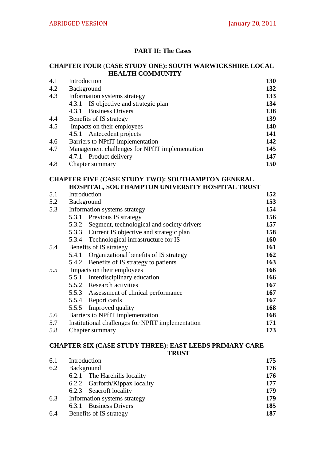#### **PART II: The Cases**

#### **CHAPTER FOUR** (**CASE STUDY ONE): SOUTH WARWICKSHIRE LOCAL HEALTH COMMUNITY**

| 4.1 | Introduction                                   | 130        |
|-----|------------------------------------------------|------------|
| 4.2 | <b>Background</b>                              | 132        |
| 4.3 | Information systems strategy                   | 133        |
|     | IS objective and strategic plan<br>4.3.1       | 134        |
|     | 4.3.1 Business Drivers                         | 138        |
| 4.4 | Benefits of IS strategy                        | 139        |
| 4.5 | Impacts on their employees                     | <b>140</b> |
|     | 4.5.1 Antecedent projects                      | 141        |
| 4.6 | Barriers to NPfIT implementation               | 142        |
| 4.7 | Management challenges for NPfIT implementation | 145        |
|     | 4.7.1 Product delivery                         | 147        |
| 4.8 | Chapter summary                                | 150        |
|     |                                                |            |

#### **CHAPTER FIVE** (**CASE STUDY TWO): SOUTHAMPTON GENERAL HOSPITAL, SOUTHAMPTON UNIVERSITY HOSPITAL TRUST**

| 5.1 | Introduction                                      | 152        |
|-----|---------------------------------------------------|------------|
| 5.2 | Background                                        | 153        |
| 5.3 | Information systems strategy                      | 154        |
|     | 5.3.1 Previous IS strategy                        | 156        |
|     | 5.3.2 Segment, technological and society drivers  | 157        |
|     | 5.3.3 Current IS objective and strategic plan     | 158        |
|     | 5.3.4 Technological infrastructure for IS         | <b>160</b> |
| 5.4 | Benefits of IS strategy                           | 161        |
|     | Organizational benefits of IS strategy<br>5.4.1   | 162        |
|     | 5.4.2 Benefits of IS strategy to patients         | 163        |
| 5.5 | Impacts on their employees                        | 166        |
|     | Interdisciplinary education<br>5.5.1              | 166        |
|     | 5.5.2 Research activities                         | 167        |
|     | 5.5.3 Assessment of clinical performance          | 167        |
|     | 5.5.4 Report cards                                | 167        |
|     | 5.5.5 Improved quality                            | 168        |
| 5.6 | Barriers to NPfIT implementation                  | <b>168</b> |
| 5.7 | Institutional challenges for NPfIT implementation | 171        |
| 5.8 | Chapter summary                                   | 173        |

## **CHAPTER SIX (CASE STUDY THREE): EAST LEEDS PRIMARY CARE**

**TRUST**

| 6.1 | Introduction                   | 175 |
|-----|--------------------------------|-----|
| 6.2 | Background                     | 176 |
|     | 6.2.1 The Harehills locality   | 176 |
|     | 6.2.2 Garforth/Kippax locality | 177 |
|     | 6.2.3 Seacroft locality        | 179 |
| 6.3 | Information systems strategy   | 179 |
|     | 6.3.1 Business Drivers         | 185 |
| 6.4 | Benefits of IS strategy        | 187 |
|     |                                |     |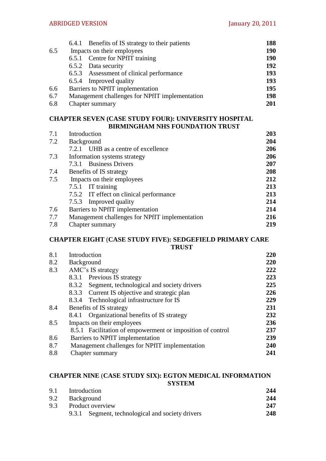|     | 6.4.1 Benefits of IS strategy to their patients | 188        |
|-----|-------------------------------------------------|------------|
| 6.5 | Impacts on their employees                      | <b>190</b> |
|     | 6.5.1 Centre for NPfIT training                 | <b>190</b> |
|     | 6.5.2 Data security                             | 192        |
|     | 6.5.3 Assessment of clinical performance        | 193        |
|     | 6.5.4 Improved quality                          | 193        |
| 6.6 | Barriers to NPfIT implementation                | 195        |
| 6.7 | Management challenges for NPfIT implementation  | 198        |
| 6.8 | Chapter summary                                 | 201        |

#### **CHAPTER SEVEN (CASE STUDY FOUR): UNIVERSITY HOSPITAL BIRMINGHAM NHS FOUNDATION TRUST**

| 7.1 | Introduction                                   | 203 |
|-----|------------------------------------------------|-----|
| 7.2 | <b>Background</b>                              | 204 |
|     | 7.2.1 UHB as a centre of excellence            | 206 |
| 7.3 | Information systems strategy                   | 206 |
|     | 7.3.1 Business Drivers                         | 207 |
| 7.4 | Benefits of IS strategy                        | 208 |
| 7.5 | Impacts on their employees                     | 212 |
|     | 7.5.1 IT training                              | 213 |
|     | 7.5.2 IT effect on clinical performance        | 213 |
|     | 7.5.3 Improved quality                         | 214 |
| 7.6 | Barriers to NPfIT implementation               | 214 |
| 7.7 | Management challenges for NPfIT implementation | 216 |
| 7.8 | Chapter summary                                | 219 |
|     |                                                |     |

#### **CHAPTER EIGHT** (**CASE STUDY FIVE): SEDGEFIELD PRIMARY CARE TRUST**

| 8.1 | Introduction                                               | 220        |
|-----|------------------------------------------------------------|------------|
| 8.2 | Background                                                 | <b>220</b> |
| 8.3 | AMC's IS strategy                                          | 222        |
|     | 8.3.1 Previous IS strategy                                 | 223        |
|     | Segment, technological and society drivers<br>8.3.2        | 225        |
|     | 8.3.3 Current IS objective and strategic plan              | 226        |
|     | Technological infrastructure for IS<br>8.3.4               | 229        |
| 8.4 | Benefits of IS strategy                                    | 231        |
|     | Organizational benefits of IS strategy<br>8.4.1            | 232        |
| 8.5 | Impacts on their employees                                 | 236        |
|     | 8.5.1 Facilitation of empowerment or imposition of control | 237        |
| 8.6 | Barriers to NPfIT implementation                           | 239        |
| 8.7 | Management challenges for NPfIT implementation             | <b>240</b> |
| 8.8 | <b>Chapter summary</b>                                     | 241        |

# **CHAPTER NINE** (**CASE STUDY SIX): EGTON MEDICAL INFORMATION**

**SYSTEM**

| 9.1 | Introduction                                     | 244 |
|-----|--------------------------------------------------|-----|
| 9.2 | Background                                       | 244 |
| 9.3 | Product overview                                 | 247 |
|     | 9.3.1 Segment, technological and society drivers | 248 |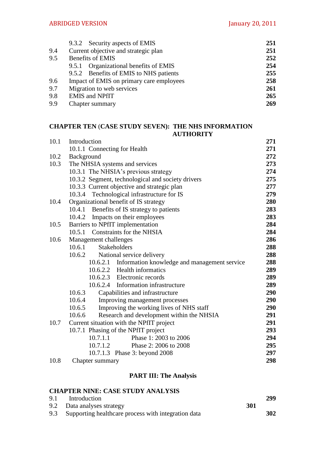|     | 9.3.2 Security aspects of EMIS           | 251 |
|-----|------------------------------------------|-----|
| 9.4 | Current objective and strategic plan     | 251 |
| 9.5 | <b>Benefits of EMIS</b>                  | 252 |
|     | 9.5.1 Organizational benefits of EMIS    | 254 |
|     | 9.5.2 Benefits of EMIS to NHS patients   | 255 |
| 9.6 | Impact of EMIS on primary care employees | 258 |
| 9.7 | Migration to web services                | 261 |
| 9.8 | <b>EMIS</b> and <b>NPfIT</b>             | 265 |
| 9.9 | Chapter summary                          | 269 |

#### **CHAPTER TEN** (**CASE STUDY SEVEN): THE NHS INFORMATION AUTHORITY**

| 10.1 | Introduction                                             | 271 |
|------|----------------------------------------------------------|-----|
|      | 10.1.1 Connecting for Health                             | 271 |
| 10.2 | Background                                               | 272 |
| 10.3 | The NHSIA systems and services                           | 273 |
|      | 10.3.1 The NHSIA's previous strategy                     | 274 |
|      | 10.3.2 Segment, technological and society drivers        | 275 |
|      | 10.3.3 Current objective and strategic plan              | 277 |
|      | 10.3.4 Technological infrastructure for IS               | 279 |
| 10.4 | Organizational benefit of IS strategy                    | 280 |
|      | 10.4.1<br>Benefits of IS strategy to patients            | 283 |
|      | 10.4.2 Impacts on their employees                        | 283 |
| 10.5 | Barriers to NPfIT implementation                         | 284 |
|      | <b>Constraints for the NHSIA</b><br>10.5.1               | 284 |
| 10.6 | Management challenges                                    | 286 |
|      | 10.6.1<br>Stakeholders                                   | 288 |
|      | 10.6.2<br>National service delivery                      | 288 |
|      | Information knowledge and management service<br>10.6.2.1 | 288 |
|      | 10.6.2.2 Health informatics                              | 289 |
|      | 10.6.2.3 Electronic records                              | 289 |
|      | 10.6.2.4 Information infrastructure                      | 289 |
|      | 10.6.3<br>Capabilities and infrastructure                | 290 |
|      | 10.6.4<br>Improving management processes                 | 290 |
|      | Improving the working lives of NHS staff<br>10.6.5       | 290 |
|      | Research and development within the NHSIA<br>10.6.6      | 291 |
| 10.7 | Current situation with the NPfIT project                 | 291 |
|      | 10.7.1 Phasing of the NPfIT project                      | 293 |
|      | 10.7.1.1<br>Phase 1: 2003 to 2006                        | 294 |
|      | 10.7.1.2<br>Phase 2: 2006 to 2008                        | 295 |
|      | 10.7.1.3 Phase 3: beyond 2008                            | 297 |
| 10.8 | Chapter summary                                          | 298 |

## **PART III: The Analysis**

| <b>CHAPTER NINE: CASE STUDY ANALYSIS</b> |     |     |
|------------------------------------------|-----|-----|
| 9.1 Introduction                         |     | 299 |
| 9.2 Data analyses strategy               | 301 |     |

| $\sum_{i=1}^{\infty}$ B and all $\sum_{i=1}^{\infty}$   | --- |
|---------------------------------------------------------|-----|
| 9.3 Supporting healthcare process with integration data | 302 |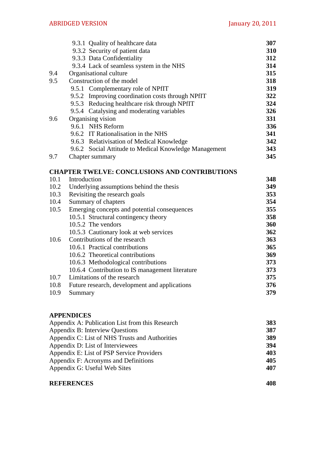|      | 9.3.1 Quality of healthcare data                      | 307 |
|------|-------------------------------------------------------|-----|
|      | 9.3.2 Security of patient data                        | 310 |
|      | 9.3.3 Data Confidentiality                            | 312 |
|      | 9.3.4 Lack of seamless system in the NHS              | 314 |
| 9.4  | Organisational culture                                | 315 |
| 9.5  | Construction of the model                             | 318 |
|      | 9.5.1 Complementary role of NPfIT                     | 319 |
|      | 9.5.2 Improving coordination costs through NPfIT      | 322 |
|      | 9.5.3 Reducing healthcare risk through NPfIT          | 324 |
|      | 9.5.4 Catalysing and moderating variables             | 326 |
| 9.6  | Organising vision                                     | 331 |
|      | 9.6.1 NHS Reform                                      | 336 |
|      | 9.6.2 IT Rationalisation in the NHS                   | 341 |
|      | 9.6.3 Relativisation of Medical Knowledge             | 342 |
|      | 9.6.2 Social Attitude to Medical Knowledge Management | 343 |
| 9.7  | Chapter summary                                       | 345 |
|      |                                                       |     |
|      | <b>CHAPTER TWELVE: CONCLUSIONS AND CONTRIBUTIONS</b>  |     |
| 10.1 | Introduction                                          | 348 |
| 10.2 | Underlying assumptions behind the thesis              | 349 |
| 10.3 | Revisiting the research goals                         | 353 |
| 10.4 | Summary of chapters                                   | 354 |
| 10.5 | Emerging concepts and potential consequences          | 355 |
|      | 10.5.1 Structural contingency theory                  | 358 |
|      | 10.5.2 The vendors                                    | 360 |
|      | 10.5.3 Cautionary look at web services                | 362 |
| 10.6 | Contributions of the research                         | 363 |
|      | 10.6.1 Practical contributions                        | 365 |
|      | 10.6.2 Theoretical contributions                      | 369 |
|      | 10.6.3 Methodological contributions                   | 373 |
|      | 10.6.4 Contribution to IS management literature       | 373 |
| 10.7 | Limitations of the research                           | 375 |
| 10.8 | Future research, development and applications         | 376 |
| 10.9 | Summary                                               | 379 |
|      |                                                       |     |

### **APPENDICES**

| Appendix A: Publication List from this Research | <b>383</b> |
|-------------------------------------------------|------------|
| Appendix B: Interview Questions                 | 387        |
| Appendix C: List of NHS Trusts and Authorities  | 389        |
| Appendix D: List of Interviewees                | 394        |
| Appendix E: List of PSP Service Providers       | 403        |
| Appendix F: Acronyms and Definitions            | 405        |
| Appendix G: Useful Web Sites                    | 407        |
|                                                 |            |

## **REFERENCES 408**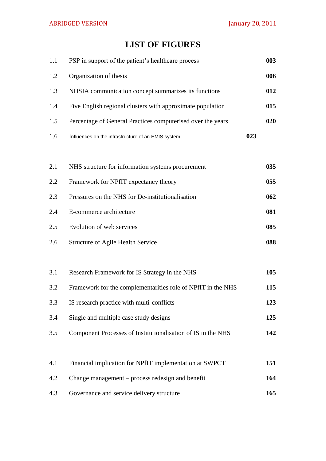# **LIST OF FIGURES**

| 1.1 | PSP in support of the patient's healthcare process           |     | 003 |
|-----|--------------------------------------------------------------|-----|-----|
| 1.2 | Organization of thesis                                       |     | 006 |
| 1.3 | NHSIA communication concept summarizes its functions         |     | 012 |
| 1.4 | Five English regional clusters with approximate population   |     | 015 |
| 1.5 | Percentage of General Practices computerised over the years  |     | 020 |
| 1.6 | Influences on the infrastructure of an EMIS system           | 023 |     |
|     |                                                              |     |     |
| 2.1 | NHS structure for information systems procurement            |     | 035 |
| 2.2 | Framework for NPfIT expectancy theory                        |     | 055 |
| 2.3 | Pressures on the NHS for De-institutionalisation             |     | 062 |
| 2.4 | E-commerce architecture                                      |     | 081 |
| 2.5 | Evolution of web services                                    |     | 085 |
| 2.6 | <b>Structure of Agile Health Service</b>                     |     | 088 |
|     |                                                              |     |     |
| 3.1 | Research Framework for IS Strategy in the NHS                |     | 105 |
| 3.2 | Framework for the complementarities role of NPfIT in the NHS |     | 115 |
| 3.3 | IS research practice with multi-conflicts                    |     | 123 |
| 3.4 | Single and multiple case study designs                       |     | 125 |
| 3.5 | Component Processes of Institutionalisation of IS in the NHS |     | 142 |
|     |                                                              |     |     |
| 4.1 | Financial implication for NPfIT implementation at SWPCT      |     | 151 |
| 4.2 | Change management – process redesign and benefit             |     | 164 |
| 4.3 | Governance and service delivery structure                    |     | 165 |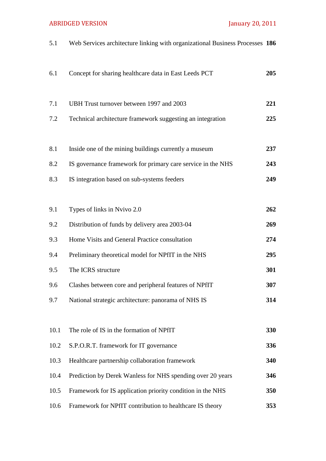# ABRIDGED VERSION January 20, 2011

| 5.1  | Web Services architecture linking with organizational Business Processes 186 |     |
|------|------------------------------------------------------------------------------|-----|
| 6.1  | Concept for sharing healthcare data in East Leeds PCT                        | 205 |
| 7.1  | UBH Trust turnover between 1997 and 2003                                     | 221 |
| 7.2  | Technical architecture framework suggesting an integration                   | 225 |
| 8.1  | Inside one of the mining buildings currently a museum                        | 237 |
| 8.2  | IS governance framework for primary care service in the NHS                  | 243 |
| 8.3  | IS integration based on sub-systems feeders                                  | 249 |
| 9.1  | Types of links in Nvivo 2.0                                                  | 262 |
| 9.2  | Distribution of funds by delivery area 2003-04                               | 269 |
| 9.3  | Home Visits and General Practice consultation                                | 274 |
| 9.4  | Preliminary theoretical model for NPfIT in the NHS                           | 295 |
| 9.5  | The ICRS structure                                                           | 301 |
| 9.6  | Clashes between core and peripheral features of NPfIT                        | 307 |
| 9.7  | National strategic architecture: panorama of NHS IS                          | 314 |
| 10.1 | The role of IS in the formation of NPfIT                                     | 330 |
| 10.2 | S.P.O.R.T. framework for IT governance                                       | 336 |
| 10.3 | Healthcare partnership collaboration framework                               | 340 |
| 10.4 | Prediction by Derek Wanless for NHS spending over 20 years                   | 346 |
| 10.5 | Framework for IS application priority condition in the NHS                   | 350 |
| 10.6 | Framework for NPfIT contribution to healthcare IS theory                     | 353 |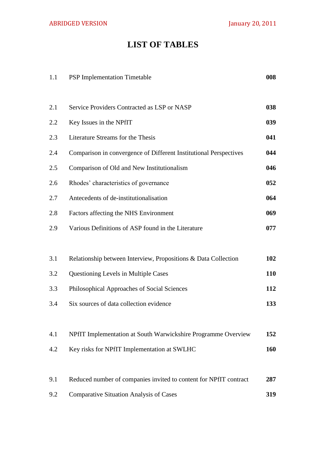# **LIST OF TABLES**

| 1.1 | <b>PSP</b> Implementation Timetable                               | 008 |
|-----|-------------------------------------------------------------------|-----|
| 2.1 | Service Providers Contracted as LSP or NASP                       | 038 |
| 2.2 | Key Issues in the NPfIT                                           | 039 |
| 2.3 | Literature Streams for the Thesis                                 | 041 |
| 2.4 | Comparison in convergence of Different Institutional Perspectives | 044 |
| 2.5 | Comparison of Old and New Institutionalism                        | 046 |
| 2.6 | Rhodes' characteristics of governance                             | 052 |
| 2.7 | Antecedents of de-institutionalisation                            | 064 |
| 2.8 | Factors affecting the NHS Environment                             | 069 |
| 2.9 | Various Definitions of ASP found in the Literature                | 077 |
|     |                                                                   |     |
| 3.1 | Relationship between Interview, Propositions & Data Collection    | 102 |
| 3.2 | Questioning Levels in Multiple Cases                              | 110 |
| 3.3 | Philosophical Approaches of Social Sciences                       | 112 |
| 3.4 | Six sources of data collection evidence                           | 133 |
|     |                                                                   |     |
| 4.1 | NPfIT Implementation at South Warwickshire Programme Overview     | 152 |
| 4.2 | Key risks for NPfIT Implementation at SWLHC                       | 160 |
|     |                                                                   |     |
| 9.1 | Reduced number of companies invited to content for NPfIT contract | 287 |
| 9.2 | <b>Comparative Situation Analysis of Cases</b>                    | 319 |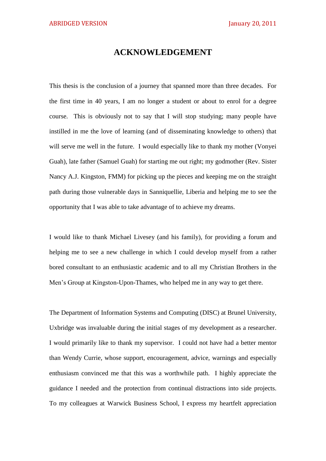## **ACKNOWLEDGEMENT**

This thesis is the conclusion of a journey that spanned more than three decades. For the first time in 40 years, I am no longer a student or about to enrol for a degree course. This is obviously not to say that I will stop studying; many people have instilled in me the love of learning (and of disseminating knowledge to others) that will serve me well in the future. I would especially like to thank my mother (Vonyei Guah), late father (Samuel Guah) for starting me out right; my godmother (Rev. Sister Nancy A.J. Kingston, FMM) for picking up the pieces and keeping me on the straight path during those vulnerable days in Sanniquellie, Liberia and helping me to see the opportunity that I was able to take advantage of to achieve my dreams.

I would like to thank Michael Livesey (and his family), for providing a forum and helping me to see a new challenge in which I could develop myself from a rather bored consultant to an enthusiastic academic and to all my Christian Brothers in the Men's Group at Kingston-Upon-Thames, who helped me in any way to get there.

The Department of Information Systems and Computing (DISC) at Brunel University, Uxbridge was invaluable during the initial stages of my development as a researcher. I would primarily like to thank my supervisor. I could not have had a better mentor than Wendy Currie, whose support, encouragement, advice, warnings and especially enthusiasm convinced me that this was a worthwhile path. I highly appreciate the guidance I needed and the protection from continual distractions into side projects. To my colleagues at Warwick Business School, I express my heartfelt appreciation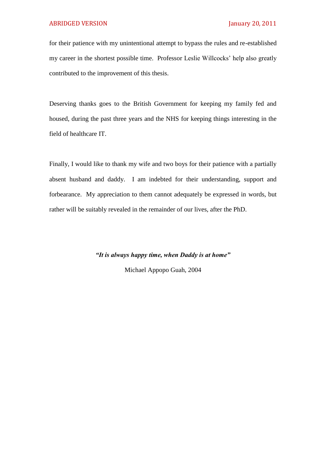for their patience with my unintentional attempt to bypass the rules and re-established my career in the shortest possible time. Professor Leslie Willcocks' help also greatly contributed to the improvement of this thesis.

Deserving thanks goes to the British Government for keeping my family fed and housed, during the past three years and the NHS for keeping things interesting in the field of healthcare IT.

Finally, I would like to thank my wife and two boys for their patience with a partially absent husband and daddy. I am indebted for their understanding, support and forbearance. My appreciation to them cannot adequately be expressed in words, but rather will be suitably revealed in the remainder of our lives, after the PhD.

*"It is always happy time, when Daddy is at home"*

Michael Appopo Guah, 2004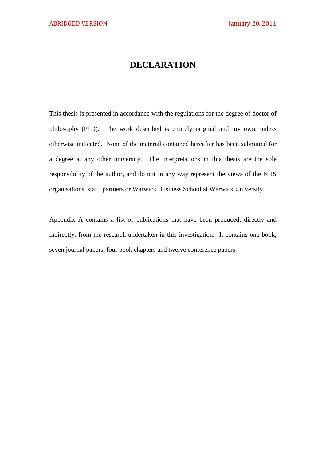# **DECLARATION**

This thesis is presented in accordance with the regulations for the degree of doctor of philosophy (PhD). The work described is entirely original and my own, unless otherwise indicated. None of the material contained hereafter has been submitted for a degree at any other university. The interpretations in this thesis are the sole responsibility of the author, and do not in any way represent the views of the NHS organisations, staff, partners or Warwick Business School at Warwick University.

Appendix A contains a list of publications that have been produced, directly and indirectly, from the research undertaken in this investigation. It contains one book, seven journal papers, four book chapters and twelve conference papers.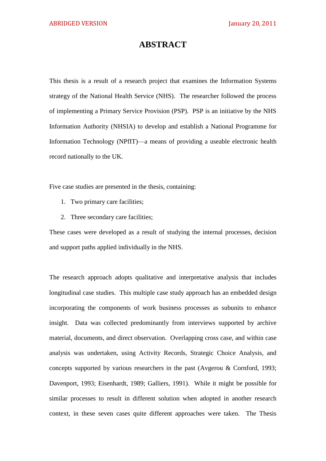#### **ABSTRACT**

This thesis is a result of a research project that examines the Information Systems strategy of the National Health Service (NHS). The researcher followed the process of implementing a Primary Service Provision (PSP). PSP is an initiative by the NHS Information Authority (NHSIA) to develop and establish a National Programme for Information Technology (NPfIT)—a means of providing a useable electronic health record nationally to the UK.

Five case studies are presented in the thesis, containing:

- 1. Two primary care facilities;
- 2. Three secondary care facilities;

These cases were developed as a result of studying the internal processes, decision and support paths applied individually in the NHS.

The research approach adopts qualitative and interpretative analysis that includes longitudinal case studies. This multiple case study approach has an embedded design incorporating the components of work business processes as subunits to enhance insight. Data was collected predominantly from interviews supported by archive material, documents, and direct observation. Overlapping cross case, and within case analysis was undertaken, using Activity Records, Strategic Choice Analysis, and concepts supported by various researchers in the past (Avgerou & Cornford, 1993; Davenport, 1993; Eisenhardt, 1989; Galliers, 1991). While it might be possible for similar processes to result in different solution when adopted in another research context, in these seven cases quite different approaches were taken. The Thesis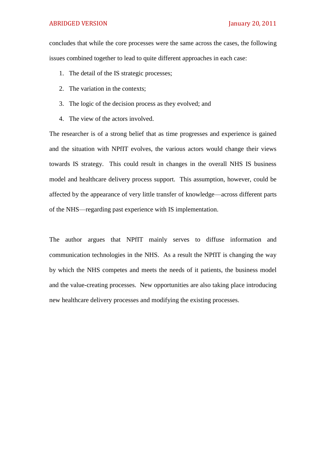#### ABRIDGED VERSION January 20, 2011

concludes that while the core processes were the same across the cases, the following issues combined together to lead to quite different approaches in each case:

- 1. The detail of the IS strategic processes;
- 2. The variation in the contexts;
- 3. The logic of the decision process as they evolved; and
- 4. The view of the actors involved.

The researcher is of a strong belief that as time progresses and experience is gained and the situation with NPfIT evolves, the various actors would change their views towards IS strategy. This could result in changes in the overall NHS IS business model and healthcare delivery process support. This assumption, however, could be affected by the appearance of very little transfer of knowledge—across different parts of the NHS—regarding past experience with IS implementation.

The author argues that NPfIT mainly serves to diffuse information and communication technologies in the NHS. As a result the NPfIT is changing the way by which the NHS competes and meets the needs of it patients, the business model and the value-creating processes. New opportunities are also taking place introducing new healthcare delivery processes and modifying the existing processes.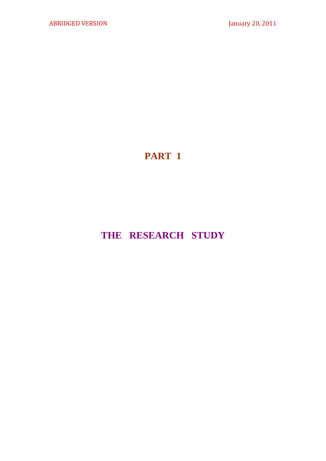# **PART 1**

# **THE RESEARCH STUDY**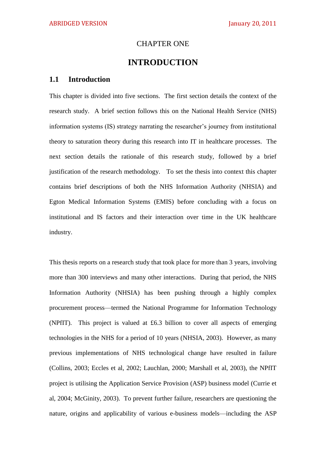#### CHAPTER ONE

## **INTRODUCTION**

#### **1.1 Introduction**

This chapter is divided into five sections. The first section details the context of the research study. A brief section follows this on the National Health Service (NHS) information systems (IS) strategy narrating the researcher's journey from institutional theory to saturation theory during this research into IT in healthcare processes. The next section details the rationale of this research study, followed by a brief justification of the research methodology. To set the thesis into context this chapter contains brief descriptions of both the NHS Information Authority (NHSIA) and Egton Medical Information Systems (EMIS) before concluding with a focus on institutional and IS factors and their interaction over time in the UK healthcare industry.

This thesis reports on a research study that took place for more than 3 years, involving more than 300 interviews and many other interactions. During that period, the NHS Information Authority (NHSIA) has been pushing through a highly complex procurement process—termed the National Programme for Information Technology (NPfIT). This project is valued at £6.3 billion to cover all aspects of emerging technologies in the NHS for a period of 10 years (NHSIA, 2003). However, as many previous implementations of NHS technological change have resulted in failure (Collins, 2003; Eccles et al, 2002; Lauchlan, 2000; Marshall et al, 2003), the NPfIT project is utilising the Application Service Provision (ASP) business model (Currie et al, 2004; McGinity, 2003). To prevent further failure, researchers are questioning the nature, origins and applicability of various e-business models—including the ASP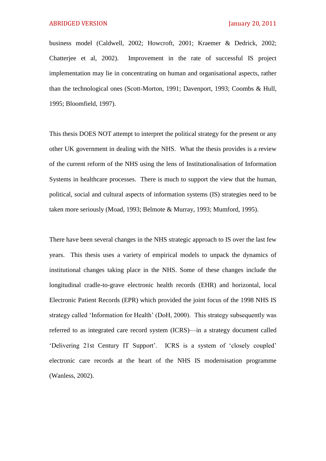business model (Caldwell, 2002; Howcroft, 2001; Kraemer & Dedrick, 2002; Chatterjee et al, 2002). Improvement in the rate of successful IS project implementation may lie in concentrating on human and organisational aspects, rather than the technological ones (Scott-Morton, 1991; Davenport, 1993; Coombs & Hull, 1995; Bloomfield, 1997).

This thesis DOES NOT attempt to interpret the political strategy for the present or any other UK government in dealing with the NHS. What the thesis provides is a review of the current reform of the NHS using the lens of Institutionalisation of Information Systems in healthcare processes. There is much to support the view that the human, political, social and cultural aspects of information systems (IS) strategies need to be taken more seriously (Moad, 1993; Belmote & Murray, 1993; Mumford, 1995).

There have been several changes in the NHS strategic approach to IS over the last few years. This thesis uses a variety of empirical models to unpack the dynamics of institutional changes taking place in the NHS. Some of these changes include the longitudinal cradle-to-grave electronic health records (EHR) and horizontal, local Electronic Patient Records (EPR) which provided the joint focus of the 1998 NHS IS strategy called 'Information for Health' (DoH, 2000). This strategy subsequently was referred to as integrated care record system (ICRS)—in a strategy document called ‗Delivering 21st Century IT Support'. ICRS is a system of ‗closely coupled' electronic care records at the heart of the NHS IS modernisation programme (Wanless, 2002).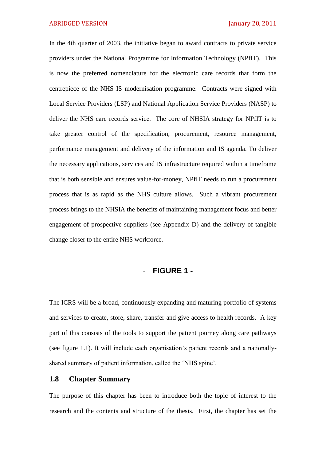In the 4th quarter of 2003, the initiative began to award contracts to private service providers under the National Programme for Information Technology (NPfIT). This is now the preferred nomenclature for the electronic care records that form the centrepiece of the NHS IS modernisation programme. Contracts were signed with Local Service Providers (LSP) and National Application Service Providers (NASP) to deliver the NHS care records service. The core of NHSIA strategy for NPfIT is to take greater control of the specification, procurement, resource management, performance management and delivery of the information and IS agenda. To deliver the necessary applications, services and IS infrastructure required within a timeframe that is both sensible and ensures value-for-money, NPfIT needs to run a procurement process that is as rapid as the NHS culture allows. Such a vibrant procurement process brings to the NHSIA the benefits of maintaining management focus and better engagement of prospective suppliers (see Appendix D) and the delivery of tangible change closer to the entire NHS workforce.

#### - **FIGURE 1 -**

The ICRS will be a broad, continuously expanding and maturing portfolio of systems and services to create, store, share, transfer and give access to health records. A key part of this consists of the tools to support the patient journey along care pathways (see figure 1.1). It will include each organisation's patient records and a nationallyshared summary of patient information, called the 'NHS spine'.

#### **1.8 Chapter Summary**

The purpose of this chapter has been to introduce both the topic of interest to the research and the contents and structure of the thesis. First, the chapter has set the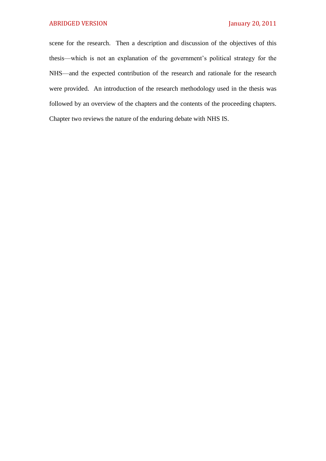scene for the research. Then a description and discussion of the objectives of this thesis—which is not an explanation of the government's political strategy for the NHS—and the expected contribution of the research and rationale for the research were provided. An introduction of the research methodology used in the thesis was followed by an overview of the chapters and the contents of the proceeding chapters. Chapter two reviews the nature of the enduring debate with NHS IS.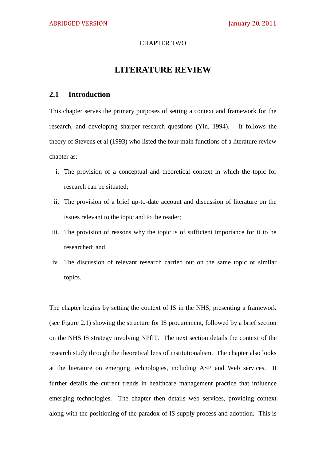#### CHAPTER TWO

### **LITERATURE REVIEW**

#### **2.1 Introduction**

This chapter serves the primary purposes of setting a context and framework for the research, and developing sharper research questions (Yin, 1994). It follows the theory of Stevens et al (1993) who listed the four main functions of a literature review chapter as:

- i. The provision of a conceptual and theoretical context in which the topic for research can be situated;
- ii. The provision of a brief up-to-date account and discussion of literature on the issues relevant to the topic and to the reader;
- iii. The provision of reasons why the topic is of sufficient importance for it to be researched; and
- iv. The discussion of relevant research carried out on the same topic or similar topics.

The chapter begins by setting the context of IS in the NHS, presenting a framework (see Figure 2.1) showing the structure for IS procurement, followed by a brief section on the NHS IS strategy involving NPfIT. The next section details the context of the research study through the theoretical lens of institutionalism. The chapter also looks at the literature on emerging technologies, including ASP and Web services. It further details the current trends in healthcare management practice that influence emerging technologies. The chapter then details web services, providing context along with the positioning of the paradox of IS supply process and adoption. This is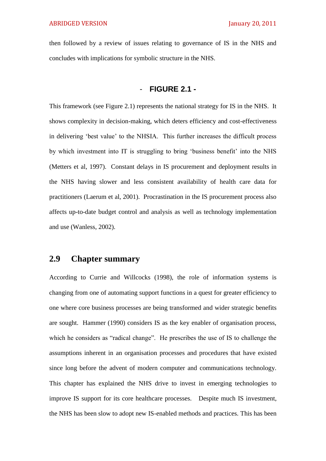then followed by a review of issues relating to governance of IS in the NHS and concludes with implications for symbolic structure in the NHS.

## - **FIGURE 2.1 -**

This framework (see Figure 2.1) represents the national strategy for IS in the NHS. It shows complexity in decision-making, which deters efficiency and cost-effectiveness in delivering ‗best value' to the NHSIA. This further increases the difficult process by which investment into IT is struggling to bring ‗business benefit' into the NHS (Metters et al, 1997). Constant delays in IS procurement and deployment results in the NHS having slower and less consistent availability of health care data for practitioners (Laerum et al, 2001). Procrastination in the IS procurement process also affects up-to-date budget control and analysis as well as technology implementation and use (Wanless, 2002).

## **2.9 Chapter summary**

According to Currie and Willcocks (1998), the role of information systems is changing from one of automating support functions in a quest for greater efficiency to one where core business processes are being transformed and wider strategic benefits are sought. Hammer (1990) considers IS as the key enabler of organisation process, which he considers as "radical change". He prescribes the use of IS to challenge the assumptions inherent in an organisation processes and procedures that have existed since long before the advent of modern computer and communications technology. This chapter has explained the NHS drive to invest in emerging technologies to improve IS support for its core healthcare processes. Despite much IS investment, the NHS has been slow to adopt new IS-enabled methods and practices. This has been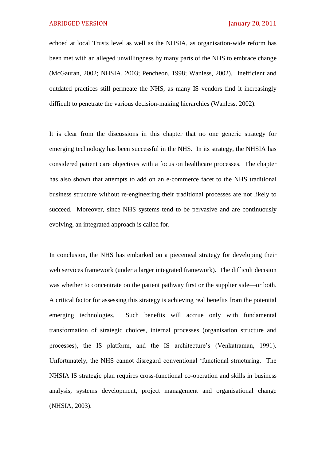echoed at local Trusts level as well as the NHSIA, as organisation-wide reform has been met with an alleged unwillingness by many parts of the NHS to embrace change (McGauran, 2002; NHSIA, 2003; Pencheon, 1998; Wanless, 2002). Inefficient and outdated practices still permeate the NHS, as many IS vendors find it increasingly difficult to penetrate the various decision-making hierarchies (Wanless, 2002).

It is clear from the discussions in this chapter that no one generic strategy for emerging technology has been successful in the NHS. In its strategy, the NHSIA has considered patient care objectives with a focus on healthcare processes. The chapter has also shown that attempts to add on an e-commerce facet to the NHS traditional business structure without re-engineering their traditional processes are not likely to succeed. Moreover, since NHS systems tend to be pervasive and are continuously evolving, an integrated approach is called for.

In conclusion, the NHS has embarked on a piecemeal strategy for developing their web services framework (under a larger integrated framework). The difficult decision was whether to concentrate on the patient pathway first or the supplier side—or both. A critical factor for assessing this strategy is achieving real benefits from the potential emerging technologies. Such benefits will accrue only with fundamental transformation of strategic choices, internal processes (organisation structure and processes), the IS platform, and the IS architecture's (Venkatraman, 1991). Unfortunately, the NHS cannot disregard conventional ‗functional structuring. The NHSIA IS strategic plan requires cross-functional co-operation and skills in business analysis, systems development, project management and organisational change (NHSIA, 2003).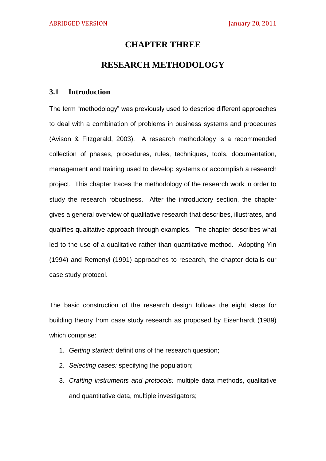### **CHAPTER THREE**

## **RESEARCH METHODOLOGY**

#### **3.1 Introduction**

The term "methodology" was previously used to describe different approaches to deal with a combination of problems in business systems and procedures (Avison & Fitzgerald, 2003). A research methodology is a recommended collection of phases, procedures, rules, techniques, tools, documentation, management and training used to develop systems or accomplish a research project. This chapter traces the methodology of the research work in order to study the research robustness. After the introductory section, the chapter gives a general overview of qualitative research that describes, illustrates, and qualifies qualitative approach through examples. The chapter describes what led to the use of a qualitative rather than quantitative method. Adopting Yin (1994) and Remenyi (1991) approaches to research, the chapter details our case study protocol.

The basic construction of the research design follows the eight steps for building theory from case study research as proposed by Eisenhardt (1989) which comprise:

- 1. *Getting started:* definitions of the research question;
- 2. *Selecting cases:* specifying the population;
- 3. *Crafting instruments and protocols:* multiple data methods, qualitative and quantitative data, multiple investigators;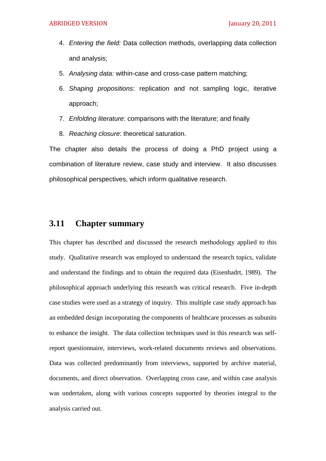- 4. *Entering the field:* Data collection methods, overlapping data collection and analysis;
- 5. *Analysing data:* within-case and cross-case pattern matching;
- 6. *Shaping propositions*: replication and not sampling logic, iterative approach;
- 7. *Enfolding literature*: comparisons with the literature; and finally
- 8. *Reaching closure*: theoretical saturation.

The chapter also details the process of doing a PhD project using a combination of literature review, case study and interview. It also discusses philosophical perspectives, which inform qualitative research.

## **3.11 Chapter summary**

This chapter has described and discussed the research methodology applied to this study. Qualitative research was employed to understand the research topics, validate and understand the findings and to obtain the required data (Eisenhadrt, 1989). The philosophical approach underlying this research was critical research. Five in-depth case studies were used as a strategy of inquiry. This multiple case study approach has an embedded design incorporating the components of healthcare processes as subunits to enhance the insight. The data collection techniques used in this research was selfreport questionnaire, interviews, work-related documents reviews and observations. Data was collected predominantly from interviews, supported by archive material, documents, and direct observation. Overlapping cross case, and within case analysis was undertaken, along with various concepts supported by theories integral to the analysis carried out.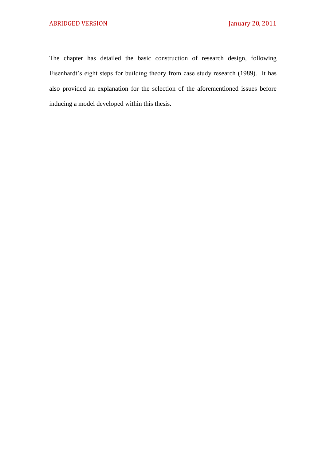The chapter has detailed the basic construction of research design, following Eisenhardt's eight steps for building theory from case study research (1989). It has also provided an explanation for the selection of the aforementioned issues before inducing a model developed within this thesis.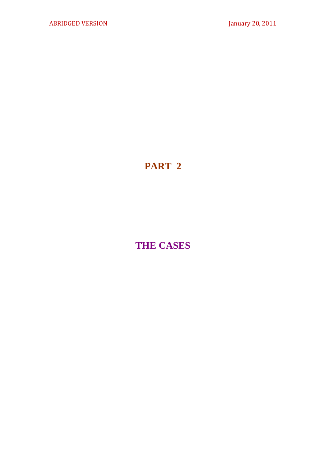# **PART 2**

# **THE CASES**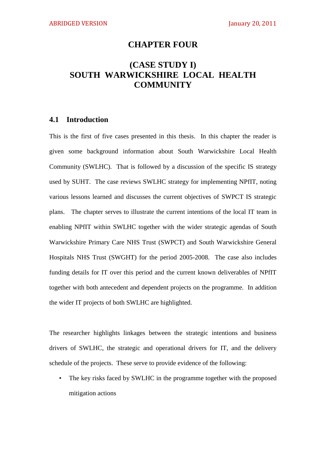### **CHAPTER FOUR**

# **(CASE STUDY I) SOUTH WARWICKSHIRE LOCAL HEALTH COMMUNITY**

#### **4.1 Introduction**

This is the first of five cases presented in this thesis. In this chapter the reader is given some background information about South Warwickshire Local Health Community (SWLHC). That is followed by a discussion of the specific IS strategy used by SUHT. The case reviews SWLHC strategy for implementing NPfIT, noting various lessons learned and discusses the current objectives of SWPCT IS strategic plans. The chapter serves to illustrate the current intentions of the local IT team in enabling NPfIT within SWLHC together with the wider strategic agendas of South Warwickshire Primary Care NHS Trust (SWPCT) and South Warwickshire General Hospitals NHS Trust (SWGHT) for the period 2005-2008. The case also includes funding details for IT over this period and the current known deliverables of NPfIT together with both antecedent and dependent projects on the programme. In addition the wider IT projects of both SWLHC are highlighted.

The researcher highlights linkages between the strategic intentions and business drivers of SWLHC, the strategic and operational drivers for IT, and the delivery schedule of the projects. These serve to provide evidence of the following:

• The key risks faced by SWLHC in the programme together with the proposed mitigation actions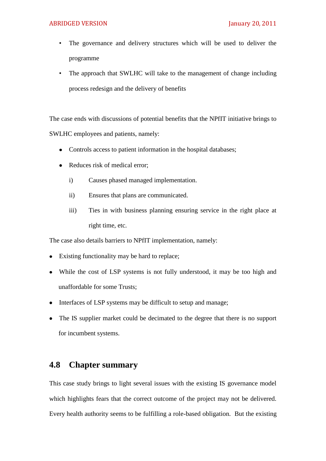- The governance and delivery structures which will be used to deliver the programme
- The approach that SWLHC will take to the management of change including process redesign and the delivery of benefits

The case ends with discussions of potential benefits that the NPfIT initiative brings to SWLHC employees and patients, namely:

- Controls access to patient information in the hospital databases;
- Reduces risk of medical error:
	- i) Causes phased managed implementation.
	- ii) Ensures that plans are communicated.
	- iii) Ties in with business planning ensuring service in the right place at right time, etc.

The case also details barriers to NPfIT implementation, namely:

- Existing functionality may be hard to replace;  $\bullet$
- While the cost of LSP systems is not fully understood, it may be too high and  $\bullet$ unaffordable for some Trusts;
- Interfaces of LSP systems may be difficult to setup and manage;
- The IS supplier market could be decimated to the degree that there is no support  $\bullet$ for incumbent systems.

## **4.8 Chapter summary**

This case study brings to light several issues with the existing IS governance model which highlights fears that the correct outcome of the project may not be delivered. Every health authority seems to be fulfilling a role-based obligation. But the existing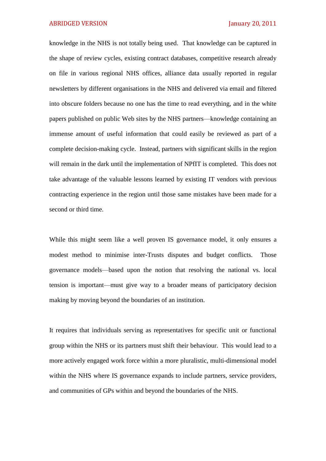knowledge in the NHS is not totally being used. That knowledge can be captured in the shape of review cycles, existing contract databases, competitive research already on file in various regional NHS offices, alliance data usually reported in regular newsletters by different organisations in the NHS and delivered via email and filtered into obscure folders because no one has the time to read everything, and in the white papers published on public Web sites by the NHS partners—knowledge containing an immense amount of useful information that could easily be reviewed as part of a complete decision-making cycle. Instead, partners with significant skills in the region will remain in the dark until the implementation of NPfIT is completed. This does not take advantage of the valuable lessons learned by existing IT vendors with previous contracting experience in the region until those same mistakes have been made for a second or third time.

While this might seem like a well proven IS governance model, it only ensures a modest method to minimise inter-Trusts disputes and budget conflicts. Those governance models—based upon the notion that resolving the national vs. local tension is important—must give way to a broader means of participatory decision making by moving beyond the boundaries of an institution.

It requires that individuals serving as representatives for specific unit or functional group within the NHS or its partners must shift their behaviour. This would lead to a more actively engaged work force within a more pluralistic, multi-dimensional model within the NHS where IS governance expands to include partners, service providers, and communities of GPs within and beyond the boundaries of the NHS.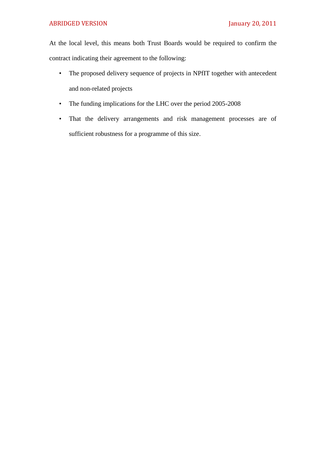At the local level, this means both Trust Boards would be required to confirm the contract indicating their agreement to the following:

- The proposed delivery sequence of projects in NPfIT together with antecedent and non-related projects
- The funding implications for the LHC over the period 2005-2008
- That the delivery arrangements and risk management processes are of sufficient robustness for a programme of this size.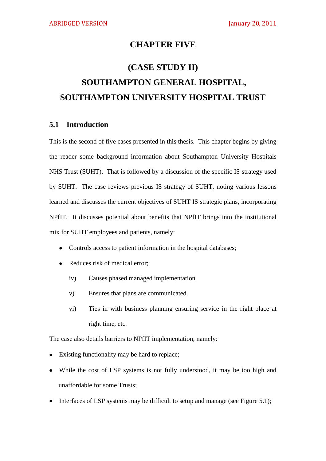## **CHAPTER FIVE**

# **(CASE STUDY II) SOUTHAMPTON GENERAL HOSPITAL, SOUTHAMPTON UNIVERSITY HOSPITAL TRUST**

#### **5.1 Introduction**

This is the second of five cases presented in this thesis. This chapter begins by giving the reader some background information about Southampton University Hospitals NHS Trust (SUHT). That is followed by a discussion of the specific IS strategy used by SUHT. The case reviews previous IS strategy of SUHT, noting various lessons learned and discusses the current objectives of SUHT IS strategic plans, incorporating NPfIT. It discusses potential about benefits that NPfIT brings into the institutional mix for SUHT employees and patients, namely:

- Controls access to patient information in the hospital databases;
- Reduces risk of medical error;
	- iv) Causes phased managed implementation.
	- v) Ensures that plans are communicated.
	- vi) Ties in with business planning ensuring service in the right place at right time, etc.

The case also details barriers to NPfIT implementation, namely:

- Existing functionality may be hard to replace;  $\bullet$
- While the cost of LSP systems is not fully understood, it may be too high and unaffordable for some Trusts;
- Interfaces of LSP systems may be difficult to setup and manage (see Figure 5.1);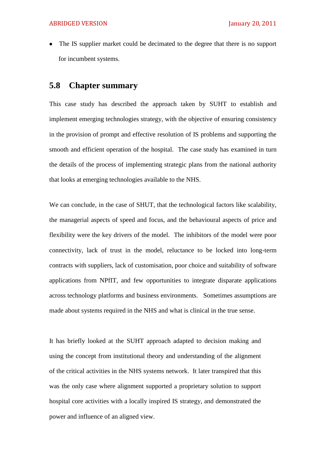The IS supplier market could be decimated to the degree that there is no support  $\bullet$ for incumbent systems.

### **5.8 Chapter summary**

This case study has described the approach taken by SUHT to establish and implement emerging technologies strategy, with the objective of ensuring consistency in the provision of prompt and effective resolution of IS problems and supporting the smooth and efficient operation of the hospital. The case study has examined in turn the details of the process of implementing strategic plans from the national authority that looks at emerging technologies available to the NHS.

We can conclude, in the case of SHUT, that the technological factors like scalability, the managerial aspects of speed and focus, and the behavioural aspects of price and flexibility were the key drivers of the model. The inhibitors of the model were poor connectivity, lack of trust in the model, reluctance to be locked into long-term contracts with suppliers, lack of customisation, poor choice and suitability of software applications from NPfIT, and few opportunities to integrate disparate applications across technology platforms and business environments. Sometimes assumptions are made about systems required in the NHS and what is clinical in the true sense.

It has briefly looked at the SUHT approach adapted to decision making and using the concept from institutional theory and understanding of the alignment of the critical activities in the NHS systems network. It later transpired that this was the only case where alignment supported a proprietary solution to support hospital core activities with a locally inspired IS strategy, and demonstrated the power and influence of an aligned view.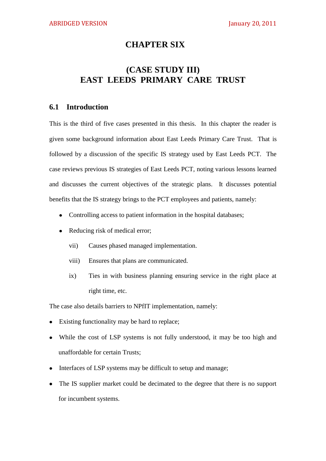## **CHAPTER SIX**

# **(CASE STUDY III) EAST LEEDS PRIMARY CARE TRUST**

#### **6.1 Introduction**

This is the third of five cases presented in this thesis. In this chapter the reader is given some background information about East Leeds Primary Care Trust. That is followed by a discussion of the specific IS strategy used by East Leeds PCT. The case reviews previous IS strategies of East Leeds PCT, noting various lessons learned and discusses the current objectives of the strategic plans. It discusses potential benefits that the IS strategy brings to the PCT employees and patients, namely:

- Controlling access to patient information in the hospital databases;
- Reducing risk of medical error;  $\bullet$ 
	- vii) Causes phased managed implementation.
	- viii) Ensures that plans are communicated.
	- ix) Ties in with business planning ensuring service in the right place at right time, etc.

The case also details barriers to NPfIT implementation, namely:

- Existing functionality may be hard to replace;  $\bullet$
- While the cost of LSP systems is not fully understood, it may be too high and  $\bullet$ unaffordable for certain Trusts;
- Interfaces of LSP systems may be difficult to setup and manage;
- The IS supplier market could be decimated to the degree that there is no support  $\bullet$ for incumbent systems.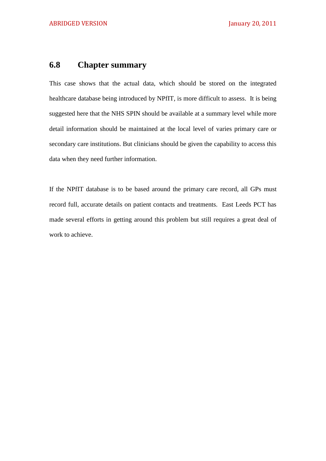# **6.8 Chapter summary**

This case shows that the actual data, which should be stored on the integrated healthcare database being introduced by NPfIT, is more difficult to assess. It is being suggested here that the NHS SPIN should be available at a summary level while more detail information should be maintained at the local level of varies primary care or secondary care institutions. But clinicians should be given the capability to access this data when they need further information.

If the NPfIT database is to be based around the primary care record, all GPs must record full, accurate details on patient contacts and treatments. East Leeds PCT has made several efforts in getting around this problem but still requires a great deal of work to achieve.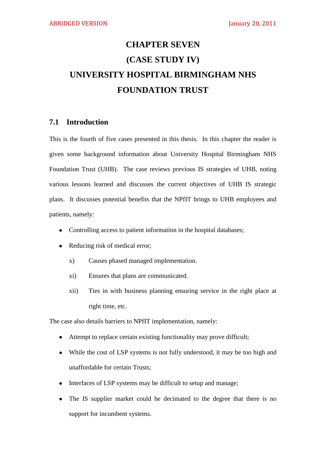# **CHAPTER SEVEN (CASE STUDY IV) UNIVERSITY HOSPITAL BIRMINGHAM NHS FOUNDATION TRUST**

### **7.1 Introduction**

This is the fourth of five cases presented in this thesis. In this chapter the reader is given some background information about University Hospital Birmingham NHS Foundation Trust (UHB). The case reviews previous IS strategies of UHB, noting various lessons learned and discusses the current objectives of UHB IS strategic plans. It discusses potential benefits that the NPfIT brings to UHB employees and patients, namely:

- Controlling access to patient information in the hospital databases;
- Reducing risk of medical error;
	- x) Causes phased managed implementation.
	- xi) Ensures that plans are communicated.
	- xii) Ties in with business planning ensuring service in the right place at right time, etc.

The case also details barriers to NPfIT implementation, namely:

- Attempt to replace certain existing functionality may prove difficult;
- While the cost of LSP systems is not fully understood, it may be too high and  $\bullet$ unaffordable for certain Trusts;
- Interfaces of LSP systems may be difficult to setup and manage;  $\bullet$
- The IS supplier market could be decimated to the degree that there is no  $\bullet$ support for incumbent systems.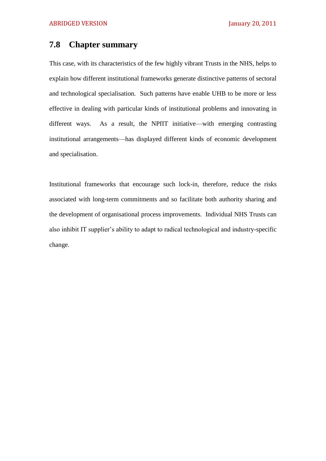## **7.8 Chapter summary**

This case, with its characteristics of the few highly vibrant Trusts in the NHS, helps to explain how different institutional frameworks generate distinctive patterns of sectoral and technological specialisation. Such patterns have enable UHB to be more or less effective in dealing with particular kinds of institutional problems and innovating in different ways. As a result, the NPfIT initiative—with emerging contrasting institutional arrangements—has displayed different kinds of economic development and specialisation.

Institutional frameworks that encourage such lock-in, therefore, reduce the risks associated with long-term commitments and so facilitate both authority sharing and the development of organisational process improvements. Individual NHS Trusts can also inhibit IT supplier's ability to adapt to radical technological and industry-specific change.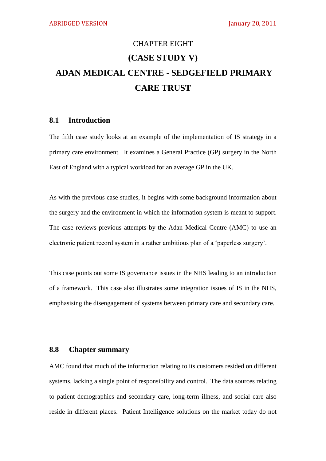# CHAPTER EIGHT **(CASE STUDY V) ADAN MEDICAL CENTRE - SEDGEFIELD PRIMARY CARE TRUST**

### **8.1 Introduction**

The fifth case study looks at an example of the implementation of IS strategy in a primary care environment. It examines a General Practice (GP) surgery in the North East of England with a typical workload for an average GP in the UK.

As with the previous case studies, it begins with some background information about the surgery and the environment in which the information system is meant to support. The case reviews previous attempts by the Adan Medical Centre (AMC) to use an electronic patient record system in a rather ambitious plan of a 'paperless surgery'.

This case points out some IS governance issues in the NHS leading to an introduction of a framework. This case also illustrates some integration issues of IS in the NHS, emphasising the disengagement of systems between primary care and secondary care.

#### **8.8 Chapter summary**

AMC found that much of the information relating to its customers resided on different systems, lacking a single point of responsibility and control. The data sources relating to patient demographics and secondary care, long-term illness, and social care also reside in different places. Patient Intelligence solutions on the market today do not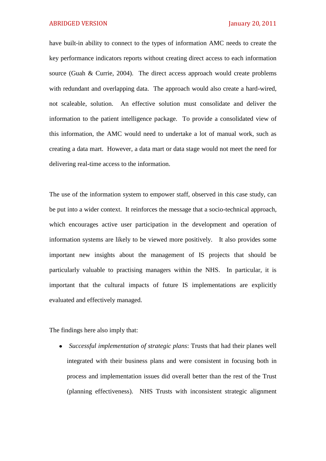have built-in ability to connect to the types of information AMC needs to create the key performance indicators reports without creating direct access to each information source (Guah & Currie, 2004). The direct access approach would create problems with redundant and overlapping data. The approach would also create a hard-wired, not scaleable, solution. An effective solution must consolidate and deliver the information to the patient intelligence package. To provide a consolidated view of this information, the AMC would need to undertake a lot of manual work, such as creating a data mart. However, a data mart or data stage would not meet the need for delivering real-time access to the information.

The use of the information system to empower staff, observed in this case study, can be put into a wider context. It reinforces the message that a socio-technical approach, which encourages active user participation in the development and operation of information systems are likely to be viewed more positively. It also provides some important new insights about the management of IS projects that should be particularly valuable to practising managers within the NHS. In particular, it is important that the cultural impacts of future IS implementations are explicitly evaluated and effectively managed.

The findings here also imply that:

*Successful implementation of strategic plans*: Trusts that had their planes well integrated with their business plans and were consistent in focusing both in process and implementation issues did overall better than the rest of the Trust (planning effectiveness). NHS Trusts with inconsistent strategic alignment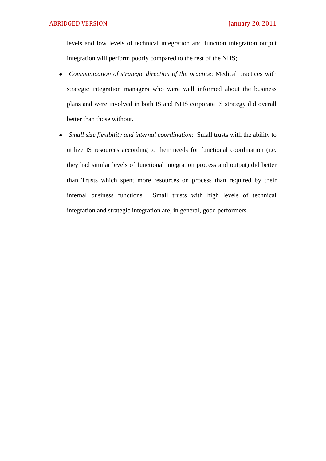levels and low levels of technical integration and function integration output integration will perform poorly compared to the rest of the NHS;

- *Communication of strategic direction of the practice*: Medical practices with strategic integration managers who were well informed about the business plans and were involved in both IS and NHS corporate IS strategy did overall better than those without.
- *Small size flexibility and internal coordination*: Small trusts with the ability to utilize IS resources according to their needs for functional coordination (i.e. they had similar levels of functional integration process and output) did better than Trusts which spent more resources on process than required by their internal business functions. Small trusts with high levels of technical integration and strategic integration are, in general, good performers.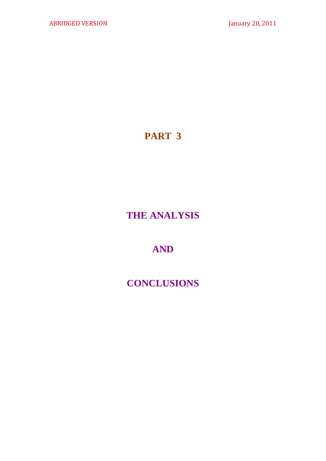# **PART 3**

# **THE ANALYSIS**

# **AND**

# **CONCLUSIONS**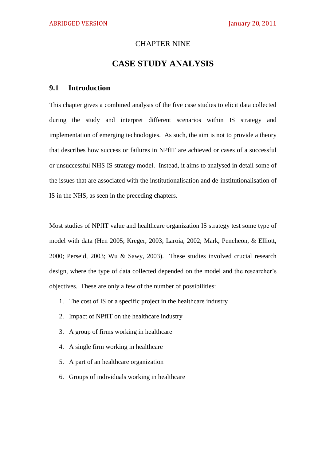#### CHAPTER NINE

## **CASE STUDY ANALYSIS**

#### **9.1 Introduction**

This chapter gives a combined analysis of the five case studies to elicit data collected during the study and interpret different scenarios within IS strategy and implementation of emerging technologies. As such, the aim is not to provide a theory that describes how success or failures in NPfIT are achieved or cases of a successful or unsuccessful NHS IS strategy model. Instead, it aims to analysed in detail some of the issues that are associated with the institutionalisation and de-institutionalisation of IS in the NHS, as seen in the preceding chapters.

Most studies of NPfIT value and healthcare organization IS strategy test some type of model with data (Hen 2005; Kreger, 2003; Laroia, 2002; Mark, Pencheon, & Elliott, 2000; Perseid, 2003; Wu & Sawy, 2003). These studies involved crucial research design, where the type of data collected depended on the model and the researcher's objectives. These are only a few of the number of possibilities:

- 1. The cost of IS or a specific project in the healthcare industry
- 2. Impact of NPfIT on the healthcare industry
- 3. A group of firms working in healthcare
- 4. A single firm working in healthcare
- 5. A part of an healthcare organization
- 6. Groups of individuals working in healthcare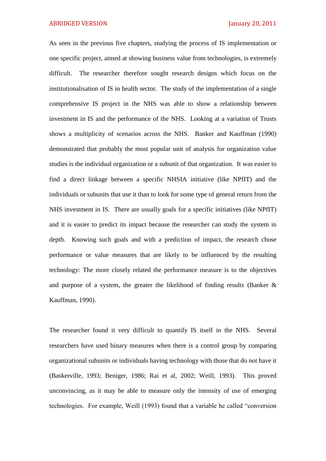As seen in the previous five chapters, studying the process of IS implementation or one specific project, aimed at showing business value from technologies, is extremely difficult. The researcher therefore sought research designs which focus on the institutionalisation of IS in health sector. The study of the implementation of a single comprehensive IS project in the NHS was able to show a relationship between investment in IS and the performance of the NHS. Looking at a variation of Trusts shows a multiplicity of scenarios across the NHS. Banker and Kauffman (1990) demonstrated that probably the most popular unit of analysis for organization value studies is the individual organization or a subunit of that organization. It was easier to find a direct linkage between a specific NHSIA initiative (like NPfIT) and the individuals or subunits that use it than to look for some type of general return from the NHS investment in IS. There are usually goals for a specific initiatives (like NPfIT) and it is easier to predict its impact because the researcher can study the system in depth. Knowing such goals and with a prediction of impact, the research chose performance or value measures that are likely to be influenced by the resulting technology: The more closely related the performance measure is to the objectives and purpose of a system, the greater the likelihood of finding results (Banker & Kauffman, 1990).

The researcher found it very difficult to quantify IS itself in the NHS. Several researchers have used binary measures when there is a control group by comparing organizational subunits or individuals having technology with those that do not have it (Baskerville, 1993; Beniger, 1986; Rai et al, 2002; Weill, 1993). This proved unconvincing, as it may be able to measure only the intensity of use of emerging technologies. For example, Weill (1993) found that a variable he called "conversion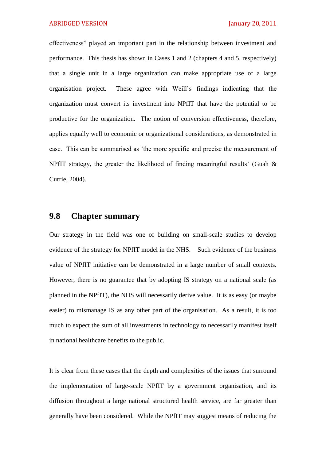effectiveness" played an important part in the relationship between investment and performance. This thesis has shown in Cases 1 and 2 (chapters 4 and 5, respectively) that a single unit in a large organization can make appropriate use of a large organisation project. These agree with Weill's findings indicating that the organization must convert its investment into NPfIT that have the potential to be productive for the organization. The notion of conversion effectiveness, therefore, applies equally well to economic or organizational considerations, as demonstrated in case. This can be summarised as 'the more specific and precise the measurement of NPfIT strategy, the greater the likelihood of finding meaningful results' (Guah & Currie, 2004).

## **9.8 Chapter summary**

Our strategy in the field was one of building on small-scale studies to develop evidence of the strategy for NPfIT model in the NHS. Such evidence of the business value of NPfIT initiative can be demonstrated in a large number of small contexts. However, there is no guarantee that by adopting IS strategy on a national scale (as planned in the NPfIT), the NHS will necessarily derive value. It is as easy (or maybe easier) to mismanage IS as any other part of the organisation. As a result, it is too much to expect the sum of all investments in technology to necessarily manifest itself in national healthcare benefits to the public.

It is clear from these cases that the depth and complexities of the issues that surround the implementation of large-scale NPfIT by a government organisation, and its diffusion throughout a large national structured health service, are far greater than generally have been considered. While the NPfIT may suggest means of reducing the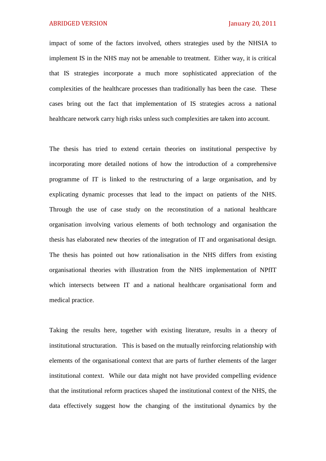impact of some of the factors involved, others strategies used by the NHSIA to implement IS in the NHS may not be amenable to treatment. Either way, it is critical that IS strategies incorporate a much more sophisticated appreciation of the complexities of the healthcare processes than traditionally has been the case. These cases bring out the fact that implementation of IS strategies across a national healthcare network carry high risks unless such complexities are taken into account.

The thesis has tried to extend certain theories on institutional perspective by incorporating more detailed notions of how the introduction of a comprehensive programme of IT is linked to the restructuring of a large organisation, and by explicating dynamic processes that lead to the impact on patients of the NHS. Through the use of case study on the reconstitution of a national healthcare organisation involving various elements of both technology and organisation the thesis has elaborated new theories of the integration of IT and organisational design. The thesis has pointed out how rationalisation in the NHS differs from existing organisational theories with illustration from the NHS implementation of NPfIT which intersects between IT and a national healthcare organisational form and medical practice.

Taking the results here, together with existing literature, results in a theory of institutional structuration. This is based on the mutually reinforcing relationship with elements of the organisational context that are parts of further elements of the larger institutional context. While our data might not have provided compelling evidence that the institutional reform practices shaped the institutional context of the NHS, the data effectively suggest how the changing of the institutional dynamics by the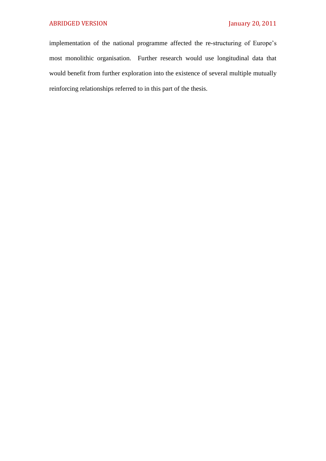implementation of the national programme affected the re-structuring of Europe's most monolithic organisation. Further research would use longitudinal data that would benefit from further exploration into the existence of several multiple mutually reinforcing relationships referred to in this part of the thesis.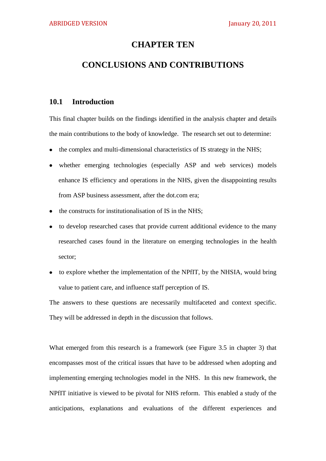### **CHAPTER TEN**

## **CONCLUSIONS AND CONTRIBUTIONS**

### **10.1 Introduction**

This final chapter builds on the findings identified in the analysis chapter and details the main contributions to the body of knowledge. The research set out to determine:

- the complex and multi-dimensional characteristics of IS strategy in the NHS;  $\bullet$
- whether emerging technologies (especially ASP and web services) models enhance IS efficiency and operations in the NHS, given the disappointing results from ASP business assessment, after the dot.com era;
- the constructs for institutionalisation of IS in the NHS;  $\bullet$
- to develop researched cases that provide current additional evidence to the many  $\bullet$ researched cases found in the literature on emerging technologies in the health sector;
- to explore whether the implementation of the NPfIT, by the NHSIA, would bring value to patient care, and influence staff perception of IS.

The answers to these questions are necessarily multifaceted and context specific. They will be addressed in depth in the discussion that follows.

What emerged from this research is a framework (see Figure 3.5 in chapter 3) that encompasses most of the critical issues that have to be addressed when adopting and implementing emerging technologies model in the NHS. In this new framework, the NPfIT initiative is viewed to be pivotal for NHS reform. This enabled a study of the anticipations, explanations and evaluations of the different experiences and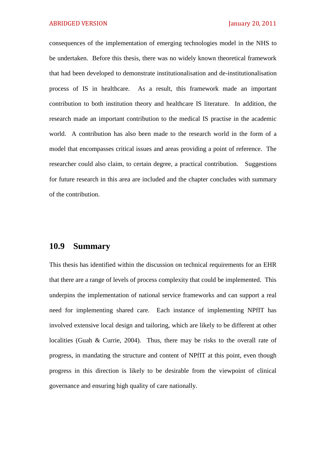consequences of the implementation of emerging technologies model in the NHS to be undertaken. Before this thesis, there was no widely known theoretical framework that had been developed to demonstrate institutionalisation and de-institutionalisation process of IS in healthcare. As a result, this framework made an important contribution to both institution theory and healthcare IS literature. In addition, the research made an important contribution to the medical IS practise in the academic world. A contribution has also been made to the research world in the form of a model that encompasses critical issues and areas providing a point of reference. The researcher could also claim, to certain degree, a practical contribution. Suggestions for future research in this area are included and the chapter concludes with summary of the contribution.

### **10.9 Summary**

This thesis has identified within the discussion on technical requirements for an EHR that there are a range of levels of process complexity that could be implemented. This underpins the implementation of national service frameworks and can support a real need for implementing shared care. Each instance of implementing NPfIT has involved extensive local design and tailoring, which are likely to be different at other localities (Guah & Currie, 2004). Thus, there may be risks to the overall rate of progress, in mandating the structure and content of NPfIT at this point, even though progress in this direction is likely to be desirable from the viewpoint of clinical governance and ensuring high quality of care nationally.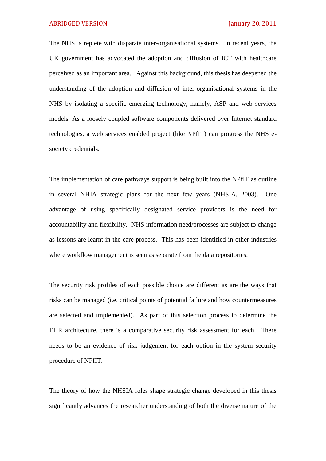ABRIDGED VERSION **January 20, 2011** 

The NHS is replete with disparate inter-organisational systems. In recent years, the UK government has advocated the adoption and diffusion of ICT with healthcare perceived as an important area. Against this background, this thesis has deepened the understanding of the adoption and diffusion of inter-organisational systems in the NHS by isolating a specific emerging technology, namely, ASP and web services models. As a loosely coupled software components delivered over Internet standard technologies, a web services enabled project (like NPfIT) can progress the NHS esociety credentials.

The implementation of care pathways support is being built into the NPfIT as outline in several NHIA strategic plans for the next few years (NHSIA, 2003). One advantage of using specifically designated service providers is the need for accountability and flexibility. NHS information need/processes are subject to change as lessons are learnt in the care process. This has been identified in other industries where workflow management is seen as separate from the data repositories.

The security risk profiles of each possible choice are different as are the ways that risks can be managed (i.e. critical points of potential failure and how countermeasures are selected and implemented). As part of this selection process to determine the EHR architecture, there is a comparative security risk assessment for each. There needs to be an evidence of risk judgement for each option in the system security procedure of NPfIT.

The theory of how the NHSIA roles shape strategic change developed in this thesis significantly advances the researcher understanding of both the diverse nature of the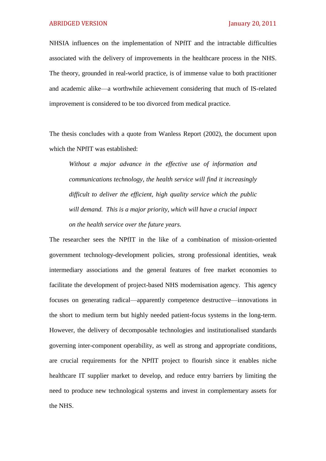NHSIA influences on the implementation of NPfIT and the intractable difficulties associated with the delivery of improvements in the healthcare process in the NHS. The theory, grounded in real-world practice, is of immense value to both practitioner and academic alike—a worthwhile achievement considering that much of IS-related improvement is considered to be too divorced from medical practice.

The thesis concludes with a quote from Wanless Report (2002), the document upon which the NPfIT was established:

*Without a major advance in the effective use of information and communications technology, the health service will find it increasingly difficult to deliver the efficient, high quality service which the public will demand. This is a major priority, which will have a crucial impact on the health service over the future years.*

The researcher sees the NPfIT in the like of a combination of mission-oriented government technology-development policies, strong professional identities, weak intermediary associations and the general features of free market economies to facilitate the development of project-based NHS modernisation agency. This agency focuses on generating radical—apparently competence destructive—innovations in the short to medium term but highly needed patient-focus systems in the long-term. However, the delivery of decomposable technologies and institutionalised standards governing inter-component operability, as well as strong and appropriate conditions, are crucial requirements for the NPfIT project to flourish since it enables niche healthcare IT supplier market to develop, and reduce entry barriers by limiting the need to produce new technological systems and invest in complementary assets for the NHS.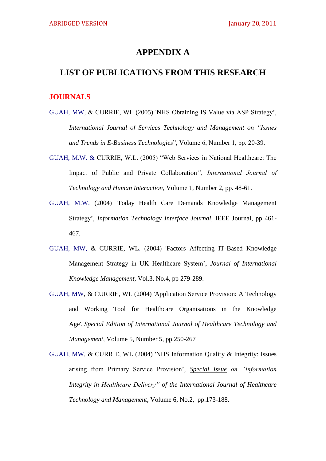## **APPENDIX A**

## **LIST OF PUBLICATIONS FROM THIS RESEARCH**

### **JOURNALS**

- GUAH, MW, & CURRIE, WL (2005) 'NHS Obtaining IS Value via ASP Strategy', *International Journal of Services Technology and Management on "Issues and Trends in E-Business Technologies*", Volume 6, Number 1, pp. 20-39.
- GUAH, M.W. & CURRIE, W.L. (2005) "Web Services in National Healthcare: The Impact of Public and Private Collaboration*", International Journal of Technology and Human Interaction*, Volume 1, Number 2, pp. 48-61.
- GUAH, M.W. (2004) 'Today Health Care Demands Knowledge Management Strategy', *Information Technology Interface Journal*, IEEE Journal, pp 461- 467.
- GUAH, MW, & CURRIE, WL. (2004) 'Factors Affecting IT-Based Knowledge Management Strategy in UK Healthcare System', *Journal of International Knowledge Management*, Vol.3, No.4, pp 279-289.
- GUAH, MW, & CURRIE, WL (2004) 'Application Service Provision: A Technology and Working Tool for Healthcare Organisations in the Knowledge Age', *Special Edition of International Journal of Healthcare Technology and Management*, Volume 5, Number 5, pp.250-267
- GUAH, MW, & CURRIE, WL (2004) 'NHS Information Quality & Integrity: Issues arising from Primary Service Provision', *Special Issue on "Information Integrity in Healthcare Delivery" of the International Journal of Healthcare Technology and Management*, Volume 6, No.2, pp.173-188.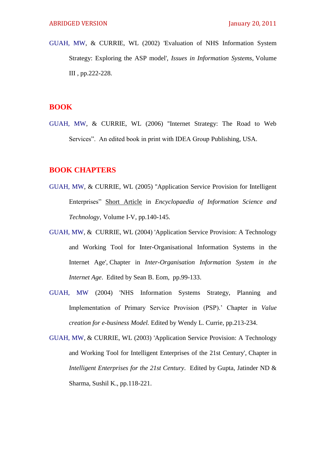GUAH, MW, & CURRIE, WL (2002) 'Evaluation of NHS Information System Strategy: Exploring the ASP model', *Issues in Information Systems*, Volume III , pp.222-228.

## **BOOK**

GUAH, MW, & CURRIE, WL (2006) ''Internet Strategy: The Road to Web Services". An edited book in print with IDEA Group Publishing, USA.

## **BOOK CHAPTERS**

- GUAH, MW, & CURRIE, WL (2005) ''Application Service Provision for Intelligent Enterprises‖ Short Article in *Encyclopaedia of Information Science and Technology*, Volume I-V, pp.140-145.
- GUAH, MW, & CURRIE, WL (2004) 'Application Service Provision: A Technology and Working Tool for Inter-Organisational Information Systems in the Internet Age', Chapter in *Inter-Organisation Information System in the Internet Age*. Edited by Sean B. Eom, pp.99-133.
- GUAH, MW (2004) 'NHS Information Systems Strategy, Planning and Implementation of Primary Service Provision (PSP).' Chapter in *Value creation for e-business Model.* Edited by Wendy L. Currie, pp.213-234.
- GUAH, MW, & CURRIE, WL (2003) 'Application Service Provision: A Technology and Working Tool for Intelligent Enterprises of the 21st Century', Chapter in *Intelligent Enterprises for the 21st Century*. Edited by Gupta, Jatinder ND & Sharma, Sushil K., pp.118-221.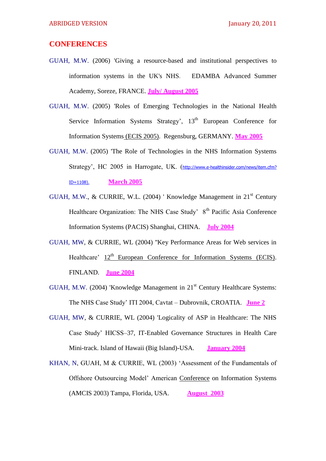### **CONFERENCES**

- GUAH, M.W. (2006) 'Giving a resource-based and institutional perspectives to information systems in the UK's NHS. EDAMBA Advanced Summer Academy, Soreze, FRANCE. **July/ August 2005**
- GUAH, M.W. (2005) 'Roles of Emerging Technologies in the National Health Service Information Systems Strategy', 13<sup>th</sup> European Conference for Information Systems (ECIS 2005). Regensburg, GERMANY. **May 2005**
- GUAH, M.W. (2005) 'The Role of Technologies in the NHS Information Systems Strategy', HC 2005 in Harrogate, UK. ([http://www.e-healthinsider.com/news/item.cfm?](http://www.e-healthinsider.com/news/item.cfm) ID=1108). **March 2005**
- GUAH, M.W., & CURRIE, W.L. (2004) ' Knowledge Management in 21<sup>st</sup> Century Healthcare Organization: The NHS Case Study' 8<sup>th</sup> Pacific Asia Conference Information Systems (PACIS) Shanghai, CHINA. **July 2004**
- GUAH, MW, & CURRIE, WL (2004) ''Key Performance Areas for Web services in Healthcare'  $12<sup>th</sup>$  European Conference for Information Systems (ECIS). FINLAND. **June 2004**
- GUAH, M.W. (2004) 'Knowledge Management in 21<sup>st</sup> Century Healthcare Systems: The NHS Case Study' ITI 2004, Cavtat – Dubrovnik, CROATIA. **June 2**
- GUAH, MW, & CURRIE, WL (2004) 'Logicality of ASP in Healthcare: The NHS Case Study' HICSS–37, IT-Enabled Governance Structures in Health Care Mini-track. Island of Hawaii (Big Island)-USA. **January 2004**
- KHAN, N, GUAH, M & CURRIE, WL (2003) 'Assessment of the Fundamentals of Offshore Outsourcing Model' American Conference on Information Systems (AMCIS 2003) Tampa, Florida, USA. **August 2003**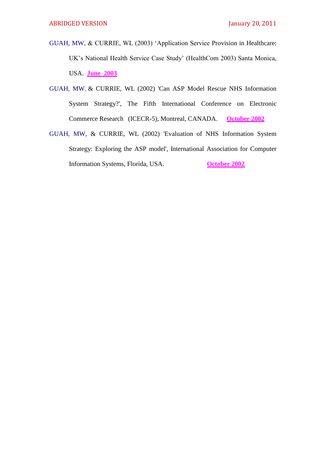- GUAH, MW, & CURRIE, WL (2003) ‗Application Service Provision in Healthcare: UK's National Health Service Case Study' (HealthCom 2003) Santa Monica, USA. **June 2003**
- GUAH, MW, & CURRIE, WL (2002) 'Can ASP Model Rescue NHS Information System Strategy?', The Fifth International Conference on Electronic Commerce Research (ICECR-5), Montreal, CANADA. **October 2002**
- GUAH, MW, & CURRIE, WL (2002) 'Evaluation of NHS Information System Strategy: Exploring the ASP model', International Association for Computer Information Systems, Florida, USA. **October 2002**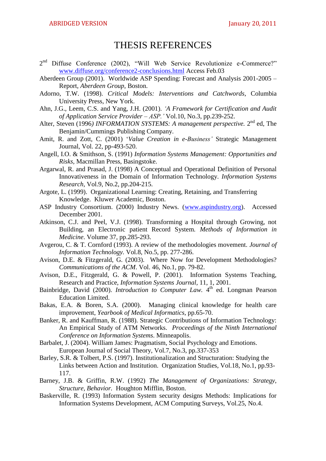## THESIS REFERENCES

- $2<sup>nd</sup>$  Diffuse Conference (2002), "Will Web Service Revolutionize e-Commerce?" [www.diffuse.org/conference2-conclusions.html](http://www.diffuse.org/conference2-conclusions.html) Access Feb.03
- Aberdeen Group (2001). Worldwide ASP Spending: Forecast and Analysis 2001-2005 Report, *Aberdeen Group*, Boston.
- Adorno, T.W. (1998). *Critical Models: Interventions and Catchwords*, Columbia University Press, New York.
- Ahn, J.G., Leem, C.S. and Yang, J.H. (2001). *"A Framework for Certification and Audit of Application Service Provider – ASP."* Vol.10, No.3, pp.239-252.
- Alter, Steven (1996) INFORMATION SYSTEMS: A management perspective. 2<sup>nd</sup> ed, The Benjamin/Cummings Publishing Company.
- Amit, R. and Zott, C. (2001) ‗*Value Creation in e-Business"* Strategic Management Journal, Vol. 22, pp-493-520.
- Angell, I.O. & Smithson, S. (1991) *Information Systems Management: Opportunities and Risks,* Macmillan Press, Basingstoke.
- Argarwal, R. and Prasad, J. (1998) A Conceptual and Operational Definition of Personal Innovativeness in the Domain of Information Technology. *Information Systems Research,* Vol.9, No.2, pp.204-215.
- Argote, L. (1999). Organizational Learning: Creating, Retaining, and Transferring Knowledge. Kluwer Academic, Boston.
- ASP Industry Consortium. (2000) Industry News. [\(www.aspindustry.org\)](http://www.aspindustry.org/). Accessed December 2001.
- Atkinson, C.J. and Peel, V.J. (1998). Transforming a Hospital through Growing, not Building, an Electronic patient Record System*. Methods of Information in Medicine*. Volume 37, pp.285-293.
- Avgerou, C. & T. Cornford (1993). A review of the methodologies movement. *Journal of Information Technology.* Vol.8, No.5, pp. 277-286.
- Avison, D.E. & Fitzgerald, G. (2003). Where Now for Development Methodologies? *Communications of the ACM*. Vol. 46, No.1, pp. 79-82.
- Avison, D.E., Fitzgerald, G. & Powell, P. (2001). Information Systems Teaching, Research and Practice, *Information Systems Journal,* 11, 1, 2001.
- Bainbridge, David (2000). *Introduction to Computer Law*. 4<sup>th</sup> ed. Longman Pearson Education Limited.
- Bakas, E.A. & Boren, S.A. (2000). Managing clinical knowledge for health care improvement, *Yearbook of Medical Informatics*, pp.65-70.
- Banker, R. and Kauffman, R. (1988). Strategic Contributions of Information Technology: An Empirical Study of ATM Networks. *Proceedings of the Ninth International Conference on Information Systems*. Minneapolis.
- Barbalet, J. (2004). William James: Pragmatism, Social Psychology and Emotions. European Journal of Social Theory, Vol.7, No.3, pp.337-353
- Barley, S.R. & Tolbert, P.S. (1997). Institutionalization and Structuration: Studying the Links between Action and Institution. Organization Studies, Vol.18, No.1, pp.93- 117.
- Barney, J.B. & Griffin, R.W. (1992) *The Management of Organizations: Strategy, Structure, Behavior.* Houghton Mifflin, Boston.
- Baskerville, R. (1993) Information System security designs Methods: Implications for Information Systems Development, ACM Computing Surveys, Vol.25, No.4.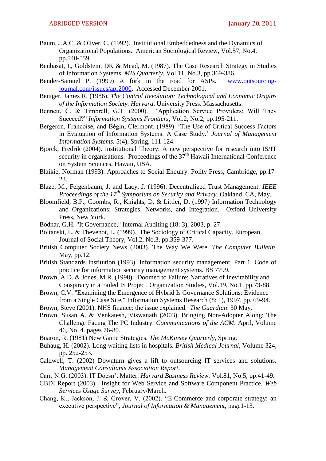- Baum, J.A.C. & Oliver, C. (1992). Institutional Embeddedness and the Dynamics of Organizational Populations. American Sociological Review, Vol.57, No.4, pp.540-559.
- Benbasat, I., Goldstein, DK & Mead, M. (1987). The Case Research Strategy in Studies of Information Systems, *MIS Quarterly*, Vol.11, No.3, pp.369-386.
- Bender-Samuel P. (1999) A fork in the road for ASPs. [www.outsourcing](http://www.outsourcing-journal.com/issues/apr2000)[journal.com/issues/apr2000.](http://www.outsourcing-journal.com/issues/apr2000) Accessed December 2001.
- Beniger, James R. (1986). *The Control Revolution: Technological and Economic Origins of the Information Society. Harvard*. University Press. Massachusetts.
- Bennett, C. & Timbrell, G.T. (2000). 'Application Service Providers: Will They Succeed?‖ *Information Systems Frontiers*, Vol.2, No.2, pp.195-211.
- Bergeron, Francoise, and Bégin, Clermont. (1989). 'The Use of Critical Success Factors in Evaluation of Information Systems: A Case Study.' *Journal of Management Information Systems.* 5(4), Spring, 111-124.
- Bjorck, Fredrik (2004). Institutional Theory: A new perspective for research into IS/IT security in organisations. Proceedings of the  $37<sup>th</sup>$  Hawaii International Conference on System Sciences, Hawaii, USA.
- Blaikie, Norman (1993). Approaches to Social Enquiry. Polity Press, Cambridge, pp.17- 23.
- Blaze, M., Feigenbaum, J. and Lacy, J. (1996). Decentralized Trust Management. *IEEE Proceedings of the 17th Symposium on Security and Privacy*. Oakland, CA, May.
- Bloomfield, B.P., Coombs, R., Knights, D. & Littler, D. (1997) Information Technology and Organizations: Strategies, Networks, and Integration. Oxford University Press, New York.
- Bodnar, G.H. "It Governance," Internal Auditing (18: 3), 2003, p. 27.
- Boltanski, L. & Thevenot, L. (1999). The Sociology of Critical Capacity. European Journal of Social Theory, Vol.2, No.3, pp.359-377.
- British Computer Society News (2003). The Way We Were. *The Computer Bulletin*. May, pp.12.
- British Standards Institution (1993). Information security management, Part 1. Code of practice for information security management systems. BS 7799.
- Brown, A.D. & Jones, M.R. (1998). Doomed to Failure: Narratives of Inevitability and Conspiracy in a Failed IS Project, Organization Studies, Vol.19, No.1, pp.73-88.
- Brown, C.V. "Examining the Emergence of Hybrid Is Governance Solutions: Evidence from a Single Case Site," Information Systems Research (8: 1), 1997, pp. 69-94.
- Brown, Steve (2001). NHS finance: the issue explained. *The Guardian*. 30 May.
- Brown, Susan A. & Venkatesh, Viswanath (2003). Bringing Non-Adopter Along: The Challenge Facing The PC Industry. *Communications of the ACM*. April, Volume 46, No. 4. pages 76-80.
- Buaron, R. (1981) New Game Strategies. *The McKinsey Quarterly*, Spring.
- Buhaug, H. (2002). Long waiting lists in hospitals. *British Medical Journal,* Volume 324, pp. 252-253.
- Caldwell, T. (2002) Downturn gives a lift to outsourcing IT services and solutions. *Management Consultants Association Report*.
- Carr, N.G. (2003). IT Doesn't Matter. *Harvard Business Review.* Vol.81, No.5, pp.41-49.
- CBDI Report (2003). Insight for Web Service and Software Component Practice. *Web Services Usage Survey,* February/March.
- Chang, K., Jackson, J. & Grover, V. (2002), "E-Commerce and corporate strategy: an executive perspective", *Journal of Information & Management*, page1-13.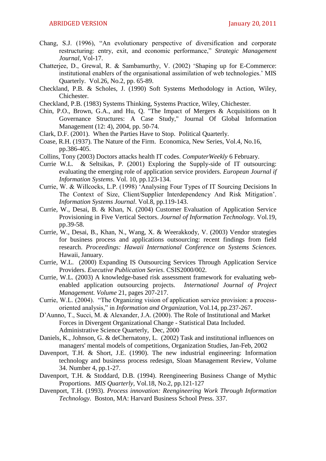- Chang, S.J. (1996), "An evolutionary perspective of diversification and corporate restructuring: entry, exit, and economic performance," *Strategic Management Journal*, Vol-17.
- Chatterjee, D., Grewal, R. & Sambamurthy, V. (2002) 'Shaping up for E-Commerce: institutional enablers of the organisational assimilation of web technologies.' MIS Quarterly. Vol.26, No.2, pp. 65-89.
- Checkland, P.B. & Scholes, J. (1990) Soft Systems Methodology in Action, Wiley, Chichester.
- Checkland, P.B. (1983) Systems Thinking, Systems Practice, Wiley, Chichester.
- Chin, P.O., Brown, G.A., and Hu, Q. "The Impact of Mergers & Acquisitions on It Governance Structures: A Case Study," Journal Of Global Information Management (12: 4), 2004, pp. 50-74.
- Clark, D.F. (2001). When the Parties Have to Stop. Political Quarterly.
- Coase, R.H. (1937). The Nature of the Firm. Economica, New Series, Vol.4, No.16, pp.386-405.
- Collins, Tony (2003) Doctors attacks health IT codes. *ComputerWeekly* 6 February.
- Currie W.L. & Seltsikas, P. (2001) Exploring the Supply-side of IT outsourcing: evaluating the emerging role of application service providers. *European Journal if Information Systems*. Vol. 10, pp.123-134.
- Currie, W. & Willcocks, L.P. (1998) ‗Analysing Four Types of IT Sourcing Decisions In The Context of Size, Client/Supplier Interdependency And Risk Mitigation'*. Information Systems Journal*. Vol.8, pp.119-143.
- Currie, W., Desai, B. & Khan, N. (2004) Customer Evaluation of Application Service Provisioning in Five Vertical Sectors. *Journal of Information Technology.* Vol.19, pp.39-58.
- Currie, W., Desai, B., Khan, N., Wang, X. & Weerakkody, V. (2003) Vendor strategies for business process and applications outsourcing: recent findings from field research. *Proceedings: Hawaii International Conference on Systems Sciences.* Hawaii, January.
- Currie, W.L. (2000) Expanding IS Outsourcing Services Through Application Service Providers. *Executive Publication Series*. CSIS2000/002.
- Currie, W.L. (2003) A knowledge-based risk assessment framework for evaluating webenabled application outsourcing projects. *International Journal of Project Management. Volume* 21, pages 207-217.
- Currie, W.L. (2004). "The Organizing vision of application service provision: a processoriented analysis," in *Information and Organization*, Vol.14, pp.237-267.
- D'Aunno, T., Succi, M. & Alexander, J.A. (2000). The Role of Institutional and Market Forces in Divergent Organizational Change - Statistical Data Included. Administrative Science Quarterly, [Dec, 2000](http://www.findarticles.com/p/articles/mi_m4035/is_4_45)
- Daniels, K., Johnson, G. & deChernatony, L. (2002) Task and institutional influences on managers' mental models of competitions, Organization Studies, Jan-Feb, 2002
- Davenport, T.H. & Short, J.E. (1990). The new industrial engineering: Information technology and business process redesign, Sloan Management Review, Volume 34. Number 4, pp.1-27.
- Davenport, T.H. & Stoddard, D.B. (1994). Reengineering Business Change of Mythic Proportions. *MIS Quarterly,* Vol.18, No.2, pp.121-127
- Davenport, T.H. (1993). *Process innovation: Reengineering Work Through Information Technology.* Boston, MA: Harvard Business School Press. 337.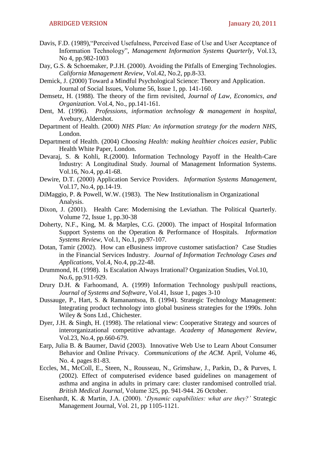- Davis, F.D. (1989), "Perceived Usefulness, Perceived Ease of Use and User Acceptance of Information Technology", *Management Information Systems Ouarterly*, Vol.13, No 4, pp.982-1003
- Day, G.S. & Schoemaker, P.J.H. (2000). Avoiding the Pitfalls of Emerging Technologies. *California Management Review,* Vol.42, No.2, pp.8-33.
- Demick, J. (2000) Toward a Mindful Psychological Science: Theory and Application. Journal of Social Issues, Volume 56, Issue 1, pp. 141-160.
- Demsetz, H. (1988). The theory of the firm revisited*, Journal of Law, Economics, and Organization.* Vol.4, No., pp.141-161.
- Dent, M. (1996). *Professions, information technology & management in hospital,* Avebury, Aldershot.
- Department of Health. (2000) *NHS Plan: An information strategy for the modern NHS*, London.
- Department of Health. (2004) *Choosing Health: making healthier choices easier*, Public Health White Paper, London.
- Devaraj, S. & Kohli, R.(2000). Information Technology Payoff in the Health-Care Industry: A Longitudinal Study. Journal of Management Information Systems. Vol.16, No.4, pp.41-68.
- Dewire, D.T. (2000) Application Service Providers. *Information Systems Management*, Vol.17, No.4, pp.14-19.
- DiMaggio, P. & Powell, W.W. (1983). The New Institutionalism in Organizational Analysis.
- Dixon, J. (2001). Health Care: Modernising the Leviathan. The Political Quarterly. Volume 72, Issue 1, pp.30-38
- Doherty, N.F., King, M. & Marples, C.G. (2000). The impact of Hospital Information Support Systems on the Operation & Performance of Hospitals. *Information Systems Review*, Vol.1, No.1, pp.97-107.
- Dotan, Tamir (2002). How can eBusiness improve customer satisfaction? Case Studies in the Financial Services Industry. *Journal of Information Technology Cases and Applications*, Vol.4, No.4, pp.22-48.
- Drummond, H. (1998). Is Escalation Always Irrational? Organization Studies, Vol.10, No.6, pp.911-929.
- Drury D.H. & Farhoomand, A. (1999) Information Technology push/pull reactions, *Journal of Systems and Software*, Vol.41, Issue 1, pages 3-10
- Dussauge, P., Hart, S. & Ramanantsoa, B. (1994). Strategic Technology Management: Integrating product technology into global business strategies for the 1990s. John Wiley & Sons Ltd., Chichester.
- Dyer, J.H. & Singh, H. (1998). The relational view: Cooperative Strategy and sources of interorganizational competitive advantage. *Academy of Management Review*, Vol.23, No.4, pp.660-679.
- Earp, Julia B. & Baumer, David (2003). Innovative Web Use to Learn About Consumer Behavior and Online Privacy. *Communications of the ACM.* April, Volume 46, No. 4. pages 81-83.
- Eccles, M., McColl, E., Steen, N., Rousseau, N., Grimshaw, J., Parkin, D., & Purves, I. (2002). Effect of computerised evidence based guidelines on management of asthma and angina in adults in primary care: cluster randomised controlled trial. *British Medical Journal,* Volume 325, pp. 941-944. 26 October.
- Eisenhardt, K. & Martin, J.A. (2000). ‗*Dynamic capabilities: what are they?"* Strategic Management Journal, Vol. 21, pp 1105-1121.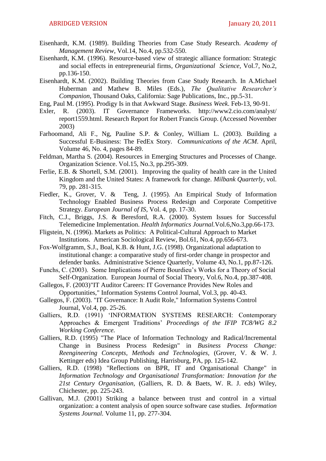- Eisenhardt, K.M. (1989). Building Theories from Case Study Research. *Academy of Management Review*, Vol.14, No.4, pp.532-550.
- Eisenhardt, K.M. (1996). Resource-based view of strategic alliance formation: Strategic and social effects in entrepreneurial firms*, Organizational Science,* Vol.7, No.2, pp.136-150.
- Eisenhardt, K.M. (2002). Building Theories from Case Study Research. In A.Michael Huberman and Mathew B. Miles (Eds.), *The Qualitative Researcher"s Companion*, Thousand Oaks, California: Sage Publications, Inc., pp.5-31.
- Eng, Paul M. (1995). Prodigy Is in that Awkward Stage. *Business Week*. Feb-13, 90-91.
- Exler, R. (2003). IT Governance Frameworks. [http://www2.cio.com/analyst/](http://www2.cio.com/analyst/%20report1559.html)  [report1559.html.](http://www2.cio.com/analyst/%20report1559.html) Research Report for Robert Francis Group. (Accessed November 2003)
- Farhoomand, Ali F., Ng, Pauline S.P. & Conley, William L. (2003). Building a Successful E-Business: The FedEx Story. *Communications of the ACM*. April, Volume 46, No. 4, pages 84-89.
- Feldman, Martha S. (2004). Resources in Emerging Structures and Processes of Change. Organization Science. Vol.15, No.3, pp.295-309.
- Ferlie, E.B. & Shortell, S.M. (2001). Improving the quality of health care in the United Kingdom and the United States: A framework for change. *Milbank Quarterly*, vol. 79, pp. 281-315.
- Fiedler, K., Grover, V. & Teng, J. (1995). An Empirical Study of Information Technology Enabled Business Process Redesign and Corporate Competitive Strategy. *European Journal of IS*, Vol. 4, pp. 17-30.
- Fitch, C.J., Briggs, J.S. & Beresford, R.A. (2000). System Issues for Successful Telemedicine Implementation. *Health Informatics Journal.*Vol.6,No.3,pp.66-173.
- Fligstein, N. (1996). Markets as Politics: A Political-Cultural Approach to Market Institutions. American Sociological Review, Bol.61, No.4, pp.656-673.
- Fox-Wolfgramm, S.J., Boal, K.B. & Hunt, J.G. (1998). Organizational adaptation to institutional change: a comparative study of first-order change in prospector and defender banks. Administrative Science Quarterly, Volume 43, No.1, pp.87-126.
- Funchs, C. (2003). Some Implications of Pierre Bourdieu's Works for a Theory of Social Self-Organization. European Journal of Social Theory, Vol.6, No.4, pp.387-408.
- Gallegos, F. (2003)"IT Auditor Careers: IT Governance Provides New Roles and Opportunities," Information Systems Control Journal, Vol.3, pp. 40-43.
- Gallegos, F. (2003). "IT Governance: It Audit Role," Information Systems Control Journal, Vol.4, pp. 25-26.
- Galliers, R.D. (1991) 'INFORMATION SYSTEMS RESEARCH: Contemporary Approaches & Emergent Traditions' *Proceedings of the IFIP TC8/WG 8.2 Working Conference.*
- Galliers, R.D. (1995) "The Place of Information Technology and Radical/Incremental Change in Business Process Redesign" in *Business Process Change: Reengineering Concepts, Methods and Technologies,* (Grover, V. & W. J. Kettinger eds) Idea Group Publishing, Harrisburg, PA, pp. 125-142.
- Galliers, R.D. (1998) "Reflections on BPR, IT and Organisational Change" in *Information Technology and Organisational Transformation: Innovation for the 21st Century Organisation,* (Galliers, R. D. & Baets, W. R. J. eds) Wiley, Chichester, pp. 225-243.
- Gallivan, M.J. (2001) Striking a balance between trust and control in a virtual organization: a content analysis of open source software case studies. *Information Systems Journal.* Volume 11, pp. 277-304.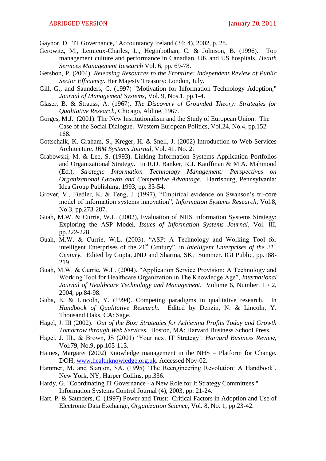Gaynor, D. "IT Governance," Accountancy Ireland (34: 4), 2002, p. 28.

- Gerowitz, M., Lemieux-Charles, L., Heginbothan, C. & Johnson, B. (1996). Top management culture and performance in Canadian, UK and US hospitals, *Health Services Management Research* Vol. 6, pp. 69-78.
- Gershon, P. (2004). *Releasing Resources to the Frontline: Independent Review of Public Sector Efficiency*. Her Majesty Treasury: London, July.
- Gill, G., and Saunders, C. (1997) "Motivation for Information Technology Adoption," *Journal of Management Systems*, Vol. 9, Nos.1, pp.1-4.
- Glaser, B. & Strauss, A. (1967). *The Discovery of Grounded Theory: Strategies for Qualitative Research,* Chicago, Aldine, 1967.
- Gorges, M.J. (2001). The New Institutionalism and the Study of European Union: The Case of the Social Dialogue. Western European Politics, Vol.24, No.4, pp.152- 168.
- Gottschalk, K. Graham, S., Kreger, H. & Snell, J. (2002) Introduction to Web Services Architecture. *IBM Systems Journal*, Vol. 41. No. 2.
- Grabowski, M. & Lee, S. (1993). Linking Information Systems Application Portfolios and Organizational Strategy. In R.D. Banker, R.J. Kauffman & M.A. Mahmood (Ed.), *Strategic Information Technology Management: Perspectives on Organizational Growth and Competitive Advantage.* Harrisburg, Pennsylvania: Idea Group Publishing, 1993, pp. 33-54.
- Grover, V., Fiedler, K. & Teng, J. (1997), "Empirical evidence on Swanson's tri-core model of information systems innovation", *Information Systems Research*, Vol.8, No.3, pp.273-287.
- Guah, M.W. & Currie, W.L. (2002), Evaluation of NHS Information Systems Strategy: Exploring the ASP Model. *Issues of Information Systems Journal*, Vol. III, pp.222-228.
- Guah, M.W. & Currie, W.L. (2003). "ASP: A Technology and Working Tool for intelligent Enterprises of the  $21<sup>st</sup>$  Century", in *Intelligent Enterprises of the*  $21<sup>st</sup>$ *Century.* Edited by Gupta, JND and Sharma, SK. Summer. IGI Public, pp.188- 219.
- Guah, M.W. & Currie, W.L. (2004). "Application Service Provision: A Technology and Working Tool for Healthcare Organization in The Knowledge Age", *International Journal of Healthcare Technology and Management.* Volume 6, Number. 1 / 2, 2004, pp.84-98.
- Guba, E. & Lincoln, Y. (1994). Competing paradigms in qualitative research. In *Handbook of Qualitative Research.* Edited by Denzin, N. & Lincoln, Y. Thousand Oaks, CA: Sage.
- Hagel, J. III (2002). *Out of the Box: Strategies for Achieving Profits Today and Growth Tomorrow through Web Services.* Boston, MA: Harvard Business School Press.
- Hagel, J. III., & Brown, JS (2001) ‗Your next IT Strategy'. *Harvard Business Review,* Vol.79, No.9, pp.105-113.
- Haines, Margaret (2002) Knowledge management in the NHS Platform for Change. DOH, [www.healthknowledge.org.uk.](http://www.healthknowledge.org.uk/) Accessed Nov-02.
- Hammer, M. and Stanton, SA. (1995) 'The Reengineering Revolution: A Handbook', New York, NY, Harper Collins, pp.336.
- Hardy, G. "Coordinating IT Governance a New Role for It Strategy Committees," Information Systems Control Journal (4), 2003, pp. 21-24.
- Hart, P. & Saunders, C. (1997) Power and Trust: Critical Factors in Adoption and Use of Electronic Data Exchange, *Organization Science*, Vol. 8, No. 1, pp.23-42.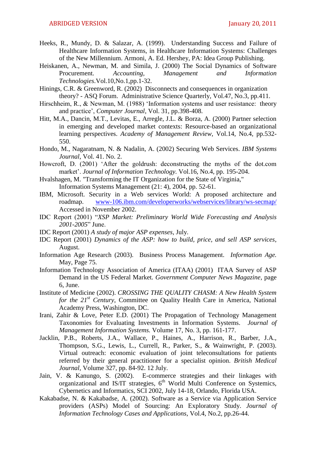- Heeks, R., Mundy, D. & Salazar, A. (1999). Understanding Success and Failure of Healthcare Information Systems, in Healthcare Information Systems: Challenges of the New Millennium. Armoni, A. Ed. Hershey, PA: Idea Group Publishing.
- Heiskanen, A., Newman, M. and Simila, J. (2000) The Social Dynamics of Software Procurement. *Accounting, Management and Information Technologies*.Vol.10,No.1,pp.1-32.
- Hinings, C.R. & Greenword, R. (2002) Disconnects and consequences in organization theory? - ASQ Forum. Administrative Science Quarterly, Vol.47, No.3, pp.411.
- Hirschheim, R., & Newman, M. (1988) 'Information systems and user resistance: theory and practice', *Computer Journal*, Vol. 31, pp.398-408.
- Hitt, M.A., Dancin, M.T., Levitas, E., Arregle, J.L. & Borza, A. (2000) Partner selection in emerging and developed market contexts: Resource-based an organizational learning perspectives. *Academy of Management Review*, Vol.14, No.4, pp.532- 550.
- Hondo, M., Nagaratnam, N. & Nadalin, A. (2002) Securing Web Services. *IBM Systems Journal*, Vol. 41. No. 2.
- Howcroft, D. (2001) 'After the goldrush: deconstructing the myths of the dot.com market'. *Journal of Information Technology.* Vol.16, No.4, pp. 195-204.
- Hvalshagen, M. "Transforming the IT Organization for the State of Virginia," Information Systems Management (21: 4), 2004, pp. 52-61.
- IBM, Microsoft. Security in a Web services World: A proposed architecture and roadmap. [www-106.ibm.com/developerworks/webservices/library/ws-secmap/](http://www.106.ibm.com/developerworks/webservices/library/ws-secmap/)  Accessed in November 2002.
- IDC Report (2001) ―*XSP Market: Preliminary World Wide Forecasting and Analysis* 2001-2005" June.
- IDC Report (2001) *A study of major ASP expenses*, July.
- IDC Report (2001) *Dynamics of the ASP: how to build, price, and sell ASP services*, August.
- Information Age Research (2003). Business Process Management. *Information Age.* May, Page 75.
- Information Technology Association of America (ITAA) (2001) ITAA Survey of ASP Demand in the US Federal Market. *Government Computer News Magazine*, page 6, June.
- Institute of Medicine (2002). *CROSSING THE QUALITY CHASM: A New Health System for the 21st Century*, Committee on Quality Health Care in America, National Academy Press, Washington, DC.
- Irani, Zahir & Love, Peter E.D. (2001) The Propagation of Technology Management Taxonomies for Evaluating Investments in Information Systems. *Journal of Management Information Systems.* Volume 17, No. 3, pp. 161-177.
- Jacklin, P.B., Roberts, J.A., Wallace, P., Haines, A., Harrison, R., Barber, J.A., Thompson, S.G., Lewis, L., Currell, R., Parker, S., & Wainwright, P. (2003). Virtual outreach: economic evaluation of joint teleconsultations for patients referred by their general practitioner for a specialist opinion. *British Medical Journal,* Volume 327, pp. 84-92. 12 July.
- Jain, V. & Kanungo, S. (2002). E-commerce strategies and their linkages with organizational and IS/IT strategies,  $6<sup>th</sup>$  World Multi Conference on Systemics, Cybernetics and Informatics, SCI 2002, July 14-18, Orlando, Florida USA.
- Kakabadse, N. & Kakabadse, A. (2002). Software as a Service via Application Service providers (ASPs) Model of Sourcing: An Exploratory Study. *Journal of Information Technology Cases and Applications*, Vol.4, No.2, pp.26-44.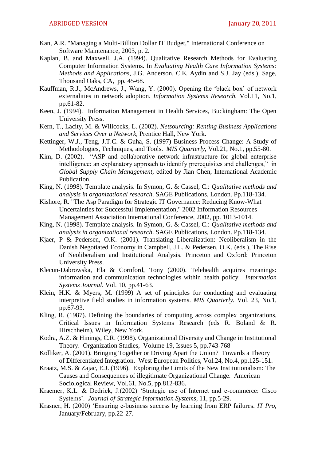- Kan, A.R. "Managing a Multi-Billion Dollar IT Budget," International Conference on Software Maintenance, 2003, p. 2.
- Kaplan, B. and Maxwell, J.A. (1994). Qualitative Research Methods for Evaluating Computer Information Systems. In *Evaluating Health Care Information Systems: Methods and Applications,* J.G. Anderson, C.E. Aydin and S.J. Jay (eds.), Sage, Thousand Oaks, CA, pp. 45-68.
- Kauffman, R.J., McAndrews, J., Wang, Y. (2000). Opening the ‗black box' of network externalities in network adoption. *Information Systems Research.* Vol.11, No.1, pp.61-82.
- Keen, J. (1994). Information Management in Health Services, Buckingham: The Open University Press.
- Kern, T., Lacity, M. & Willcocks, L. (2002). *Netsourcing: Renting Business Applications and Services Over a Network*, Prentice Hall, New York.
- Kettinger, W.J., Teng, J.T.C. & Guha, S. (1997) Business Process Change: A Study of Methodologies, Techniques, and Tools. *MIS Quarterly*, Vol.21, No.1, pp.55-80.
- Kim, D. (2002). "ASP and collaborative network infrastructure for global enterprise intelligence: an explanatory approach to identify prerequisites and challenges," in *Global Supply Chain Management,* edited by Jian Chen, International Academic Publication.
- King, N. (1998). Template analysis. In Symon, G. & Cassel, C.: *Qualitative methods and analysis in organizational research*. SAGE Publications, London. Pp.118-134.
- Kishore, R. "The Asp Paradigm for Strategic IT Governance: Reducing Know-What Uncertainties for Successful Implementation," 2002 Information Resources Management Association International Conference, 2002, pp. 1013-1014.
- King, N. (1998). Template analysis. In Symon, G. & Cassel, C.: *Qualitative methods and analysis in organizational research*. SAGE Publications, London. Pp.118-134.
- Kjaer, P & Pedersen, O.K. (2001). Translating Liberalization: Neoliberalism in the Danish Negotiated Economy in Campbell, J.L. & Pedersen, O.K. (eds.), The Rise of Neoliberalism and Institutional Analysis. Princeton and Oxford: Princeton University Press.
- Klecun-Dabrowska, Ela & Cornford, Tony (2000). Telehealth acquires meanings: information and communication technologies within health policy. *Information Systems Journal.* Vol. 10, pp.41-63.
- Klein, H.K. & Myers, M. (1999) A set of principles for conducting and evaluating interpretive field studies in information systems. *MIS Quarterly.* Vol. 23, No.1, pp.67-93.
- Kling, R. (1987). Defining the boundaries of computing across complex organizations, Critical Issues in Information Systems Research (eds R. Boland & R. Hirschheim), Wiley, New York.
- Kodra, A.Z. & Hinings, C.R. (1998). Organizational Diversity and Change in Institutional Theory. Organization Studies, Volume 19, Issues 5, pp.743-768
- Kolliker, A. (2001). Bringing Together or Driving Apart the Union? Towards a Theory of Differentiated Integration. West European Politics, Vol.24, No.4, pp.125-151.
- Kraatz, M.S. & Zajac, E.J. (1996). Exploring the Limits of the New Institutionalism: The Causes and Consequences of illegitimate Organizational Change. American Sociological Review, Vol.61, No.5, pp.812-836.
- Kraemer, K.L. & Dedrick, J.(2002) 'Strategic use of Internet and e-commerce: Cisco Systems'. *Journal of Strategic Information Systems*, 11, pp.5-29.
- Krasner, H. (2000) ‗Ensuring e-business success by learning from ERP failures. *IT Pro*, January/February, pp.22-27.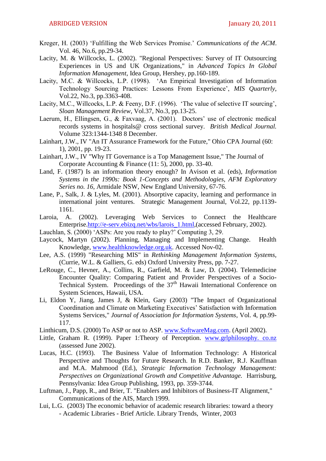- Kreger, H. (2003) ‗Fulfilling the Web Services Promise.' *Communications of the ACM*. Vol. 46, No.6, pp.29-34.
- Lacity, M. & Willcocks, L. (2002). "Regional Perspectives: Survey of IT Outsourcing Experiences in US and UK Organizations," in *Advanced Topics In Global Information Management*, Idea Group, Hershey, pp.160-189.
- Lacity, M.C. & Willcocks, L.P. (1998). 'An Empirical Investigation of Information Technology Sourcing Practices: Lessons From Experience', *MIS Quarterly*, Vol.22, No.3, pp.3363-408.
- Lacity, M.C., Willcocks, L.P. & Feeny, D.F. (1996). 'The value of selective IT sourcing', *Sloan Management Review*, Vol.37, No.3, pp.13-25.
- Laerum, H., Ellingsen, G., & Faxvaag, A. (2001). Doctors' use of electronic medical records systems in hospitals@ cross sectional survey. *British Medical Journal.* Volume 323:1344-1348 8 December.
- Lainhart, J.W., IV "An IT Assurance Framework for the Future," Ohio CPA Journal (60: 1), 2001, pp. 19-23.
- Lainhart, J.W., IV "Why IT Governance is a Top Management Issue," The Journal of Corporate Accounting & Finance (11: 5), 2000, pp. 33-40.
- Land, F. (1987) Is an information theory enough? In Avison et al. (eds), *Information Systems in the 1990s: Book 1-Concepts and Methodologies, AFM Exploratory Series no. 16*, Armidale NSW, New England University, 67-76.
- Lane, P., Salk, J. & Lyles, M. (2001). Absorptive capacity, learning and performance in international joint ventures. Strategic Management Journal, Vol.22, pp.1139- 1161.
- Laroia, A. (2002). Leveraging Web Services to Connect the Healthcare Enterprise[.http://e-serv.ebizq.net/wbs/larois\\_1.html,](http://e-serv.ebizq.net/wbs/larois_1.html)(accessed February, 2002).
- Lauchlan, S. (2000) 'ASPs: Are you ready to play?' Computing 3, 29.
- Laycock, Martyn (2002). Planning, Managing and Implementing Change. Health Knowledge, [www.healthknowledge.org.uk.](http://www.healthknowledge.org.uk/) Accessed Nov-02.
- Lee, A.S. (1999) "Researching MIS" in *Rethinking Management Information Systems,*  (Currie, W.L. & Galliers, G. eds) Oxford University Press, pp. 7-27.
- LeRouge, C., Hevner, A., Collins, R., Garfield, M. & Law, D. (2004). Telemedicine Encounter Quality: Comparing Patient and Provider Perspectives of a Socio-Technical System. Proceedings of the  $37<sup>th</sup>$  Hawaii International Conference on System Sciences, Hawaii, USA.
- Li, Eldon Y, Jiang, James J, & Klein, Gary (2003) "The Impact of Organizational Coordination and Climate on Marketing Executives' Satisfaction with Information Systems Services," *Journal of Association for Information Systems*, Vol. 4, pp.99- 117.
- Linthicum, D.S. (2000) To ASP or not to ASP. [www.SoftwareMag.com.](http://www.softwaremag.com/) (April 2002).
- Little, Graham R. (1999). Paper 1: Theory of Perception. www.grlphilosophy. co.nz (assessed June 2002).
- Lucas, H.C. (1993). The Business Value of Information Technology: A Historical Perspective and Thoughts for Future Research. In R.D. Banker, R.J. Kauffman and M.A. Mahmood (Ed.), *Strategic Information Technology Management: Perspectives on Organizational Growth and Competitive Advantage.* Harrisburg, Pennsylvania: Idea Group Publishing, 1993, pp. 359-3744.
- Luftman, J., Papp, R., and Brier, T. "Enablers and Inhibitors of Business-IT Alignment," Communications of the AIS, March 1999.
- Lui, L.G. (2003) The economic behavior of academic research libraries: toward a theory - Academic Libraries - Brief Article. Library Trends, Winter, 2003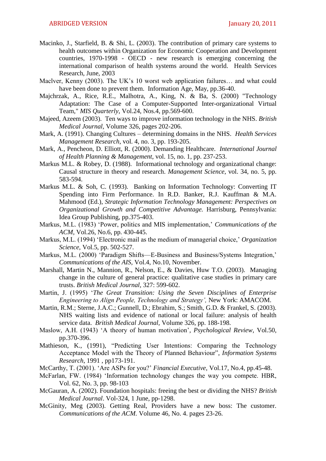- Macinko, J., Starfield, B. & Shi, L. (2003). The contribution of primary care systems to health outcomes within Organization for Economic Cooperation and Development countries, 1970-1998 - OECD - new research is emerging concerning the international comparison of health systems around the world. [Health Services](http://www.findarticles.com/p/articles/mi_m4149)  [Research,](http://www.findarticles.com/p/articles/mi_m4149) [June, 2003](http://www.findarticles.com/p/articles/mi_m4149/is_3_38)
- Maclver, Kenny (2003). The UK's 10 worst web application failures… and what could have been done to prevent them. Information Age, May, pp.36-40.
- Majchrzak, A., Rice, R.E., Malhotra, A., King, N. & Ba, S. (2000) "Technology Adaptation: The Case of a Computer-Supported Inter-organizational Virtual Team," *MIS Quarterly*, Vol.24, Nos.4, pp.569-600.
- Majeed, Azeem (2003). Ten ways to improve information technology in the NHS. *British Medical Journal,* Volume 326, pages 202-206.
- Mark, A. (1991). Changing Cultures determining domains in the NHS. *Health Services Management Research*, vol. 4, no. 3, pp. 193-205.
- Mark, A., Pencheon, D. Elliott, R. (2000). Demanding Healthcare. *International Journal of Health Planning & Management*, vol. 15, no. 1, pp. 237-253.
- Markus M.L. & Robey, D. (1988). Informational technology and organizational change: Causal structure in theory and research. *Management Science*, vol. 34, no. 5, pp. 583-594.
- Markus M.L. & Soh, C. (1993). Banking on Information Technology: Converting IT Spending into Firm Performance. In R.D. Banker, R.J. Kauffman & M.A. Mahmood (Ed.), *Strategic Information Technology Management: Perspectives on Organizational Growth and Competitive Advantage.* Harrisburg, Pennsylvania: Idea Group Publishing, pp.375-403.
- Markus, M.L. (1983) 'Power, politics and MIS implementation,' *Communications of the ACM,* Vol.26, No.6, pp. 430-445.
- Markus, M.L. (1994) 'Electronic mail as the medium of managerial choice,' *Organization Science,* Vol.5, pp. 502-527.
- Markus, M.L. (2000) 'Paradigm Shifts—E-Business and Business/Systems Integration,' *Communications of the AIS,* Vol.4, No.10, November.
- Marshall, Martin N., Mannion, R., Nelson, E., & Davies, Huw T.O. (2003). Managing change in the culture of general practice: qualitative case studies in primary care trusts. *British Medical Journal,* 327: 599-602.
- Martin, J. (1995) ‗*The Great Transition: Using the Seven Disciplines of Enterprise Engineering to Align People, Technology and Strategy",* New York: AMACOM.
- Martin, R.M.; Sterne, J.A.C.; Gunnell, D.; Ebrahim, S.; Smith, G.D. & Frankel, S. (2003). NHS waiting lists and evidence of national or local failure: analysis of health service data. *British Medical Journal,* Volume 326, pp. 188-198.
- Maslow, A.H. (1943) ‗A theory of human motivation'*, Psychological Review*, Vol.50, pp.370-396.
- Mathieson, K., (1991), "Predicting User Intentions: Comparing the Technology Acceptance Model with the Theory of Planned Behaviour", *Information Systems Research*, 1991 , pp173-191.
- McCarthy, T. (2001). ‗Are ASPs for you?' *Financial Executive*, Vol.17, No.4, pp.45-48.
- McFarlan, FW. (1984) 'Information technology changes the way you compete. HBR, Vol. 62, No. 3, pp. 98-103
- McGauran, A. (2002). Foundation hospitals: freeing the best or dividing the NHS? *British Medical Journal*. Vol-324, 1 June, pp-1298.
- McGinity, Meg (2003). Getting Real, Providers have a new boss: The customer. *Communications of the ACM.* Volume 46, No. 4. pages 23-26.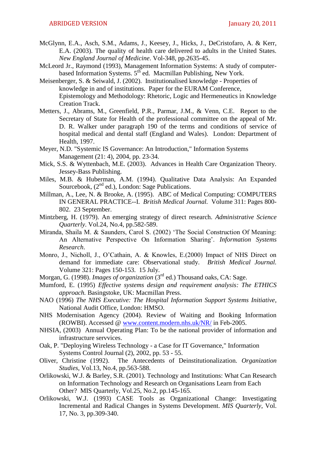- McGlynn, E.A., Asch, S.M., Adams, J., Keesey, J., Hicks, J., DeCristofaro, A. & Kerr, E.A. (2003). The quality of health care delivered to adults in the United States. *New England Journal of Medicine*. Vol-348, pp.2635-45.
- McLeord Jr., Raymond (1993), Management Information Systems: A study of computerbased Information Systems. 5<sup>th</sup> ed. Macmillan Publishing, New York.
- Meisenberger, S. & Seiwald, J. (2002). Institutionalised knowledge Properties of knowledge in and of institutions. Paper for the EURAM Conference, Epistemology and Methodology: Rhetoric, Logic and Hermeneutics in Knowledge Creation Track.
- Metters, J., Abrams, M., Greenfield, P.R., Parmar, J.M., & Venn, C.E. Report to the Secretary of State for Health of the professional committee on the appeal of Mr. D. R. Walker under paragraph 190 of the terms and conditions of service of hospital medical and dental staff (England and Wales). London: Department of Health, 1997.
- Meyer, N.D. "Systemic IS Governance: An Introduction," Information Systems Management (21: 4), 2004, pp. 23-34.
- Mick, S.S. & Wyttenbach, M.E. (2003). Advances in Health Care Organization Theory. Jessey-Bass Publishing.
- Miles, M.B. & Huberman, A.M. (1994). Qualitative Data Analysis: An Expanded Sourcebook,  $(2<sup>nd</sup> ed.)$ , London: Sage Publications.
- Millman, A., Lee, N. & Brooke, A. (1995). ABC of Medical Computing: COMPUTERS IN GENERAL PRACTICE--I. *British Medical Journal.* Volume 311: Pages 800- 802. 23 September.
- Mintzberg, H. (1979). An emerging strategy of direct research. *Administrative Science Quarterly*. Vol.24, No.4, pp.582-589.
- Miranda, Shaila M. & Saunders, Carol S. (2002) 'The Social Construction Of Meaning: An Alternative Perspective On Information Sharing'. *Information Systems Research*.
- Monro, J., Nicholl, J., O'Cathain, A. & Knowles, E.(2000) Impact of NHS Direct on demand for immediate care: Observational study. *British Medical Journal.*  Volume 321: Pages 150-153. 15 July.
- Morgan, G. (1998). *Images of organization* (3rd ed.) Thousand oaks, CA: Sage.
- Mumford, E. (1995) *Effective systems design and requirement analysis: The ETHICS approach.* Basingstoke, UK: Macmillan Press.
- NAO (1996) *The NHS Executive: The Hospital Information Support Systems Initiative*, National Audit Office, London: HMSO.
- NHS Modernisation Agency (2004). Review of Waiting and Booking Information (ROWBI). Accessed @ [www.content.modern.nhs.uk/NR/](http://www.content.modern.nhs.uk/NR/) in Feb-2005.
- NHSIA, (2003) Annual Operating Plan: To be the national provider of information and infrastructure servvices.
- Oak, P. "Deploying Wireless Technology a Case for IT Governance," Information Systems Control Journal (2), 2002, pp. 53 - 55.
- Oliver, Christine (1992). The Antecedents of Deinstitutionalization. *Organization Studies*, Vol.13, No.4, pp.563-588.
- Orlikowski, W.J. & Barley, S.R. (2001). Technology and Institutions: What Can Research on Information Technology and Research on Organisations Learn from Each Other? MIS Quarterly, Vol.25, No.2, pp.145-165.
- Orlikowski, W.J. (1993) CASE Tools as Organizational Change: Investigating Incremental and Radical Changes in Systems Development. *MIS Quarterly*, Vol. 17, No. 3, pp.309-340.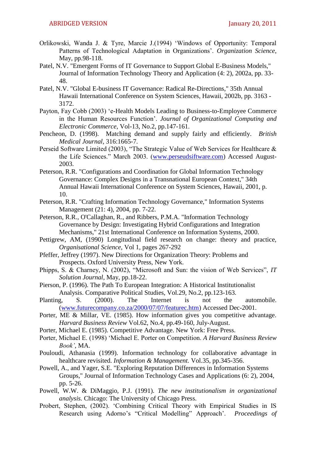- Orlikowski, Wanda J. & Tyre, Marcie J.(1994) ‗Windows of Opportunity: Temporal Patterns of Technological Adaptation in Organizations'. *Organization Science*, May, pp.98-118.
- Patel, N.V. "Emergent Forms of IT Governance to Support Global E-Business Models," Journal of Information Technology Theory and Application (4: 2), 2002a, pp. 33- 48.
- Patel, N.V. "Global E-business IT Governance: Radical Re-Directions," 35th Annual Hawaii International Conference on System Sciences, Hawaii, 2002b, pp. 3163 - 3172.
- Payton, Fay Cobb (2003) 'e-Health Models Leading to Business-to-Employee Commerce in the Human Resources Function'. *Journal of Organizational Computing and Electronic Commerce*, Vol-13, No.2, pp.147-161.
- Pencheon, D. (1998). Matching demand and supply fairly and efficiently. *British Medical Journal*, 316:1665-7.
- Perseid Software Limited (2003), "The Strategic Value of Web Services for Healthcare  $\&$ the Life Sciences." March 2003. [\(www.perseudsiftware.com\)](http://www.perseudsiftware.com/) Accessed August-2003.
- Peterson, R.R. "Configurations and Coordination for Global Information Technology Governance: Complex Designs in a Transnational European Context," 34th Annual Hawaii International Conference on System Sciences, Hawaii, 2001, p. 10.
- Peterson, R.R. "Crafting Information Technology Governance," Information Systems Management (21: 4), 2004, pp. 7-22.
- Peterson, R.R., O'Callaghan, R., and Ribbers, P.M.A. "Information Technology Governance by Design: Investigating Hybrid Configurations and Integration Mechanisms," 21st International Conference on Information Systems, 2000.
- Pettigrew, AM, (1990) Longitudinal field research on change: theory and practice, *Organisational Science*, Vol 1, pages 267-292
- Pfeffer, Jeffrey (1997). New Directions for Organization Theory: Problems and Prospects. Oxford University Press, New York.
- Phipps, S. & Charney, N. (2002), "Microsoft and Sun: the vision of Web Services", *IT Solution Journal*, May, pp.18-22.
- Pierson, P. (1996). The Path To European Integration: A Historical Institutionalist Analysis. Comparative Political Studies, Vol.29, No.2, pp.123-163.
- Planting, S. (2000). The Internet is not the automobile. [\(www.futurecompany.co.za/2000/07/07/featurec.htm\)](http://www.futurecompany.co.za/2000/07/07/featurec.htm) Accessed Dec-2001.
- Porter, ME & Millar, VE. (1985). How information gives you competitive advantage. *Harvard Business Review* Vol.62, No.4, pp.49-160, July-August.
- Porter, Michael E. (1985). Competitive Advantage. New York: Free Press.
- Porter, Michael E. (1998) 'Michael E. Porter on Competition. *A Harvard Business Review Book"*, MA.
- Pouloudi, Athanasia (1999). Information technology for collaborative advantage in healthcare revisited. *Information & Management.* Vol.35, pp.345-356.
- Powell, A., and Yager, S.E. "Exploring Reputation Differences in Information Systems Groups," Journal of Information Technology Cases and Applications (6: 2), 2004, pp. 5-26.
- Powell, W.W. & DiMaggio, P.J. (1991). *The new institutionalism in organizational analysis.* Chicago: The University of Chicago Press.
- Probert, Stephen, (2002). 'Combining Critical Theory with Empirical Studies in IS Research using Adorno's "Critical Modelling" Approach'. *Proceedings of*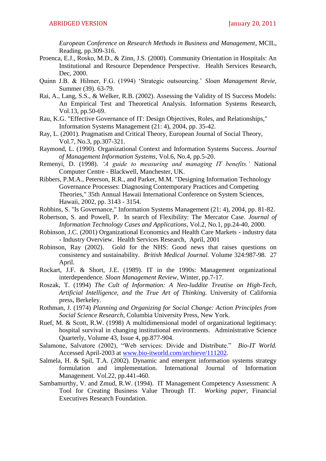*European Conference on Research Methods in Business and Management*, MCIL, Reading, pp.309-316.

- Proenca, E.J., Rosko, M.D., & Zinn, J.S. (2000). Community Orientation in Hospitals: An Institutional and Resource Dependence Perspective. Health Services Research, Dec, 2000.
- Quinn J.B. & Hilmer, F.G. (1994) ‗Strategic outsourcing.' *Sloan Management Revie,* Summer (39). 63-79.
- Rai, A., Lang, S.S., & Welker, R.B. (2002). Assessing the Validity of IS Success Models: An Empirical Test and Theoretical Analysis. Information Systems Research, Vol.13, pp.50-69.
- Rau, K.G. "Effective Governance of IT: Design Objectives, Roles, and Relationships," Information Systems Management (21: 4), 2004, pp. 35-42.
- Ray, L. (2001). Pragmatism and Critical Theory, European Journal of Social Theory, Vol.7, No.3, pp.307-321.
- Raymond, L. (1990). Organizational Context and Information Systems Success. *Journal of Management Information Systems*, Vol.6, No.4, pp.5-20.
- Remenyi, D. (1998). *"A guide to measuring and managing IT benefits."* National Computer Centre - Blackwell, Manchester, UK.
- Ribbers, P.M.A., Peterson, R.R., and Parker, M.M. "Designing Information Technology Governance Processes: Diagnosing Contemporary Practices and Competing Theories," 35th Annual Hawaii International Conference on System Sciences, Hawaii, 2002, pp. 3143 - 3154.
- Robbins, S. "Is Governance," Information Systems Management (21: 4), 2004, pp. 81-82.
- Robertson, S. and Powell, P. In search of Flexibility: The Mercator Case. *Journal of Information Technology Cases and Applications*, Vol.2, No.1, pp.24-40, 2000.
- Robinson, J.C. (2001) Organizational Economics and Health Care Markets industry data - Industry Overview. [Health Services Research,](http://www.findarticles.com/p/articles/mi_m4149) [April, 2001](http://www.findarticles.com/p/articles/mi_m4149/is_1_36)
- Robinson, Ray (2002). Gold for the NHS: Good news that raises questions on consistency and sustainability. *British Medical Journal.* Volume 324:987-98. 27 April.
- Rockart, J.F. & Short, J.E. (1989). IT in the 1990s: Management organizational interdependence. *Sloan Management Review*, Winter, pp.7-17.
- Roszak, T. (1994) *The Cult of Information: A Neo-luddite Treatise on High-Tech, Artificial Intelligence, and the True Art of Thinking.* University of California press, Berkeley.
- Rothman, J. (1974) *Planning and Organizing for Social Change: Action Principles from Social Science Research*, Columbia University Press, New York.
- Ruef, M. & Scott, R.W. (1998) A multidimensional model of organizational legitimacy: hospital survival in changing institutional environments. [Administrative Science](http://www.findarticles.com/p/articles/mi_m4035)  [Quarterly,](http://www.findarticles.com/p/articles/mi_m4035) Volume 43, Issue 4, pp.877-904.
- Salamone, Salvatore (2002), "Web services: Divide and Distribute." *Bio-IT World.* Accessed April-2003 at [www.bio-itworld.com/archieve/111202.](http://www.bio-itworld.com/archieve/111202)
- Salmela, H. & Spil, T.A. (2002). Dynamic and emergent information systems strategy formulation and implementation. International Journal of Information Management. Vol.22, pp.441-460.
- Sambamurthy, V. and Zmud, R.W. (1994). IT Management Competency Assessment: A Tool for Creating Business Value Through IT. *Working paper*, Financial Executives Research Foundation.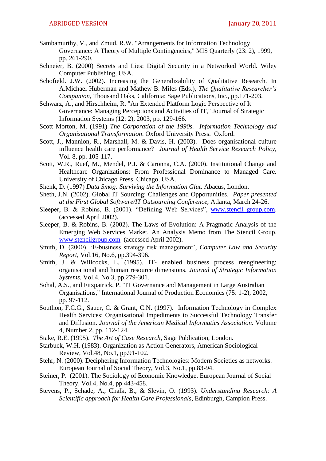- Sambamurthy, V., and Zmud, R.W. "Arrangements for Information Technology Governance: A Theory of Multiple Contingencies," MIS Quarterly (23: 2), 1999, pp. 261-290.
- Schneier, B. (2000) Secrets and Lies: Digital Security in a Networked World. Wiley Computer Publishing, USA.
- Schofield. J.W. (2002). Increasing the Generalizability of Qualitative Research. In A.Michael Huberman and Mathew B. Miles (Eds.), *The Qualitative Researcher"s Companion*, Thousand Oaks, California: Sage Publications, Inc., pp.171-203.
- Schwarz, A., and Hirschheim, R. "An Extended Platform Logic Perspective of It Governance: Managing Perceptions and Activities of IT," Journal of Strategic Information Systems (12: 2), 2003, pp. 129-166.
- Scott Morton, M. (1991) *The Corporation of the 1990s. Information Technology and Organisational Transformation*. Oxford University Press. Oxford.
- Scott, J., Mannion, R., Marshall, M. & Davis, H. (2003). Does organisational culture influence health care performance? *Journal of Health Service Research Policy*, Vol. 8, pp. 105-117.
- Scott, W.R., Ruef, M., Mendel, P.J. & Caronna, C.A. (2000). Institutional Change and Healthcare Organizations: From Professional Dominance to Managed Care. University of Chicago Press, Chicago, USA.
- Shenk, D. (1997) *Data Smog: Surviving the Information Glut.* Abacus, London.
- Sheth, J.N. (2002). Global IT Sourcing: Challenges and Opportunities. *Paper presented at the First Global Software/IT Outsourcing Conference,* Atlanta, March 24-26.
- Sleeper, B. & Robins, B. (2001). "Defining Web Services", www.stencil group.com. (accessed April 2002).
- Sleeper, B. & Robins, B. (2002). The Laws of Evolution: A Pragmatic Analysis of the Emerging Web Services Market. An Analysis Memo from The Stencil Group. [www.stencilgroup.com](http://www.stencilgroup.com/) (accessed April 2002).
- Smith, D. (2000). ‗E-business strategy risk management', *Computer Law and Security Report*, Vol.16, No.6, pp.394-396.
- Smith, J. & Willcocks, L. (1995). IT- enabled business process reengineering: organisational and human resource dimensions. *Journal of Strategic Information Systems*, Vol.4, No.3, pp.279-301.
- Sohal, A.S., and Fitzpatrick, P. "IT Governance and Management in Large Australian Organisations," International Journal of Production Economics (75: 1-2), 2002, pp. 97-112.
- Southon, F.C.G., Sauer, C. & Grant, C.N. (1997). Information Technology in Complex Health Services: Organisational Impediments to Successful Technology Transfer and Diffusion. *Journal of the American Medical Informatics Association.* Volume 4, Number 2, pp. 112-124.
- Stake, R.E. (1995). *The Art of Case Research,* Sage Publication, London.
- Starbuck, W.H. (1983). Organization as Action Generators, American Sociological Review, Vol.48, No.1, pp.91-102.
- Stehr, N. (2000). Deciphering Information Technologies: Modern Societies as networks. European Journal of Social Theory, Vol.3, No.1, pp.83-94.
- Steiner, P. (2001). The Sociology of Economic Knowledge. European Journal of Social Theory, Vol.4, No.4, pp.443-458.
- Stevens, P., Schade, A., Chalk, B., & Slevin, O. (1993). *Understanding Research: A Scientific approach for Health Care Professionals*, Edinburgh, Campion Press.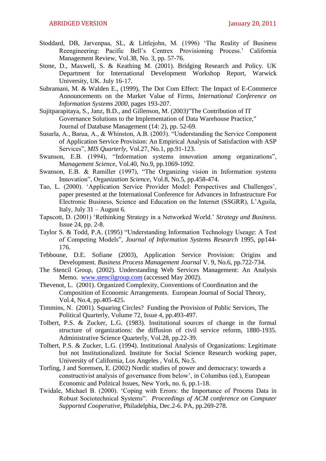- Stoddard, DB, Jarvenpaa, SL, & Littlejohn, M. (1996) 'The Reality of Business Reengineering: Pacific Bell's Centrex Provisioning Process.' California Management Review, Vol.38, No. 3, pp. 57-76.
- Stone, D., Maxwell, S. & Keathing M. (2001). Bridging Research and Policy. UK Department for International Development Workshop Report, Warwick University, UK. July 16-17.
- Subramani, M. & Walden E., (1999), The Dot Com Effect: The Impact of E-Commerce Announcements on the Market Value of Firms, *International Conference on Information Systems 2000*, pages 193-207.
- Sujitparapitaya, S., Janz, B.D., and Gillenson, M. (2003)"The Contribution of IT Governance Solutions to the Implementation of Data Warehouse Practice," Journal of Database Management (14: 2), pp. 52-69.
- Susarla, A., Barua, A., & Whinston, A.B. (2003). "Understanding the Service Component of Application Service Provision: An Empirical Analysis of Satisfaction with ASP Services", *MIS Quarterly*, Vol.27, No.1, pp.91-123.
- Swanson, E.B. (1994), "Information systems innovation among organizations", M*anagement Science*, Vol.40, No.9, pp.1069-1092.
- Swanson, E.B.  $\&$  Ramiller (1997), "The Organizing vision in Information systems Innovation‖, Orga*nization Science*, Vol.8, No.5, pp.458-474.
- Tao, L. (2000). ‗Application Service Provider Model: Perspectives and Challenges', paper presented at the International Conference for Advances in Infrastructure For Electronic Business, Science and Education on the Internet (SSGRR), L'Aguila, Italy, July 31 – August 6.
- Tapscott, D. (2001) ‗Rethinking Strategy in a Networked World.' *Strategy and Business*. Issue 24, pp. 2-8.
- Taylor S. & Todd, P.A. (1995) "Understanding Information Technology Useage: A Test of Competing Models", *Journal of Information Systems Research* 1995, pp144-176.
- Tebboune, D.E. Sofiane (2003), Application Service Provision: Origins and Development. *Business Process Management Journal* V. 9, No.6, pp.722-734.
- The Stencil Group, (2002). Understanding Web Services Management: An Analysis Memo. [www.stencilgroup.com](http://www.stencilgroup.com/) (accessed May 2002).
- Thevenot, L. (2001). Organized Complexity, Conventions of Coordination and the Composition of Economic Arrangements. European Journal of Social Theory, Vol.4, No.4, pp.405-425.
- Timmins, N. (2001). Squaring Circles? Funding the Provision of Public Services, The Political Quarterly, Volume 72, Issue 4, pp.493-497.
- Tolbert, P.S. & Zucker, L.G. (1983). Institutional sources of change in the formal structure of organizations: the diffusion of civil service reform, 1880-1935. Administrative Science Quarterly, Vol.28, pp.22-39.
- Tolbert, P.S. & Zucker, L.G. (1994). Institutional Analysis of Organizations: Legitimate but not Institutionalized. Institute for Social Science Research working paper, University of California, Los Angeles , Vol.6, No.5.
- Torfing, J and Sorensen, E. (2002) Nordic studies of power and democracy: towards a constructivist analysis of governance from below', in Columbus (ed.), European Economic and Political Issues, New York, no. 6, pp.1-18.
- Twidale, Michael B. (2000). ‗Coping with Errors: the Importance of Process Data in Robust Sociotechnical Systems". *Proceedings of ACM conference on Computer Supported Cooperative*, Philadelphia, Dec.2-6. PA, pp.269-278.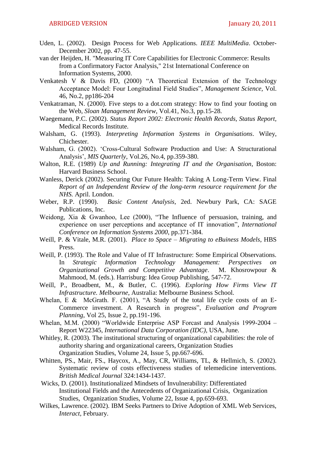- Uden, L. (2002). Design Process for Web Applications. *IEEE MultiMedia*. October-December 2002, pp. 47-55.
- van der Heijden, H. "Measuring IT Core Capabilities for Electronic Commerce: Results from a Confirmatory Factor Analysis," 21st International Conference on Information Systems, 2000.
- Venkatesh V  $\&$  Davis FD, (2000) "A Theoretical Extension of the Technology Acceptance Model: Four Longitudinal Field Studies", *Management Science*, Vol. 46, No.2, pp186-204
- Venkatraman, N. (2000). Five steps to a dot.com strategy: How to find your footing on the Web, *Sloan Management Review*, Vol.41, No.3, pp.15-28.
- Waegemann, P.C. (2002). *Status Report 2002: Electronic Health Records, Status Report,* Medical Records Institute.
- Walsham, G. (1993). *Interpreting Information Systems in Organisations*. Wiley, Chichester.
- Walsham, G. (2002). ‗Cross-Cultural Software Production and Use: A Structurational Analysis', *MIS Quarterly*, Vol.26, No.4, pp.359-380.
- Walton, R.E. (1989) *Up and Running: Integrating IT and the Organisation*, Boston: Harvard Business School.
- Wanless, Derick (2002). Securing Our Future Health: Taking A Long-Term View. Final *Report of an Independent Review of the long-term resource requirement for the NHS.* April. London.
- Weber, R.P. (1990). *Basic Content Analysis*, 2ed. Newbury Park, CA: SAGE Publications, Inc.
- Weidong, Xia & Gwanhoo, Lee  $(2000)$ , "The Influence of persuasion, training, and experience on user perceptions and acceptance of IT innovation", *International Conference on Information Systems 2000*, pp.371-384.
- Weill, P. & Vitale, M.R. (2001). *Place to Space – Migrating to eBuiness Models*, HBS Press.
- Weill, P. (1993). The Role and Value of IT Infrastructure: Some Empirical Observations. In *Strategic Information Technology Management: Perspectives on Organizational Growth and Competitive Advantage*. M. Khosrowpour & Mahmood, M. (eds.). Harrisburg: Idea Group Publishing, 547-72.
- Weill, P., Broadbent, M., & Butler, C. (1996). *Exploring How Firms View IT Infrastructure. Melbourne*, Australia: Melbourne Business School.
- Whelan, E & McGrath. F. (2001), "A Study of the total life cycle costs of an E-Commerce investment. A Research in progress", *Evaluation and Program Planning*, Vol 25, Issue 2, pp.191-196.
- Whelan, M.M. (2000) "Worldwide Enterprise ASP Forcast and Analysis 1999-2004 -Report W22345, *International Data Corporation (IDC),* USA, June.
- Whitley, R. (2003). The institutional structuring of organizational capabilities: the role of authority sharing and organizational careers, Organization Studies Organization Studies, Volume 24, Issue 5, pp.667-696.
- Whitten, PS., Mair, FS., Haycox, A., May, CR, Williams, TL, & Hellmich, S. (2002). Systematic review of costs effectiveness studies of telemedicine interventions. *British Medical Journal* 324:1434-1437.
- Wicks, D. (2001). Institutionalized Mindsets of Invulnerability: Differentiated Institutional Fields and the Antecedents of Organizational Crisis, Organization Studies, Organization Studies, Volume 22, Issue 4, pp.659-693.
- Wilkes, Lawrence. (2002). IBM Seeks Partners to Drive Adoption of XML Web Services, *Interact,* February.